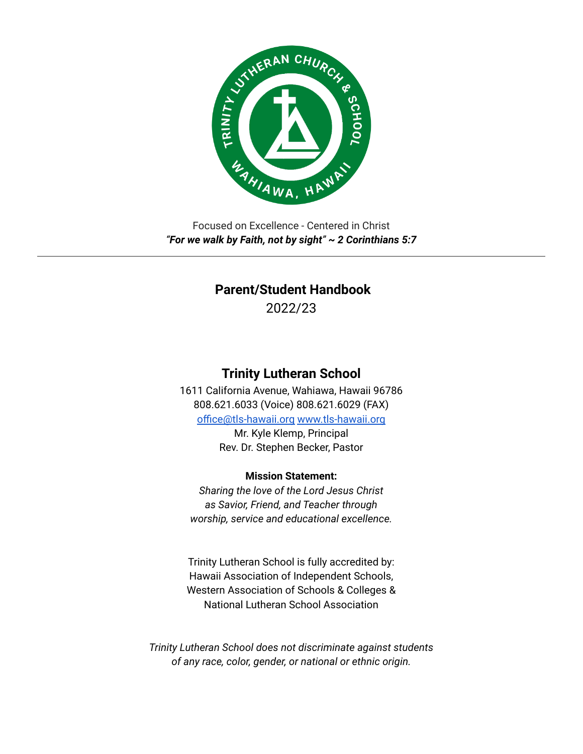

Focused on Excellence - Centered in Christ *"For we walk by Faith, not by sight" ~ 2 Corinthians 5:7*

# **Parent/Student Handbook**

2022/23

# **Trinity Lutheran School**

1611 California Avenue, Wahiawa, Hawaii 96786 808.621.6033 (Voice) 808.621.6029 (FAX) [office@tls-hawaii.org](mailto:office@tls-hawaii.org) [www.tls-hawaii.org](http://www.tls-hawaii.org) Mr. Kyle Klemp, Principal

Rev. Dr. Stephen Becker, Pastor

# **Mission Statement:**

*Sharing the love of the Lord Jesus Christ as Savior, Friend, and Teacher through worship, service and educational excellence.*

Trinity Lutheran School is fully accredited by: Hawaii Association of Independent Schools, Western Association of Schools & Colleges & National Lutheran School Association

*Trinity Lutheran School does not discriminate against students of any race, color, gender, or national or ethnic origin.*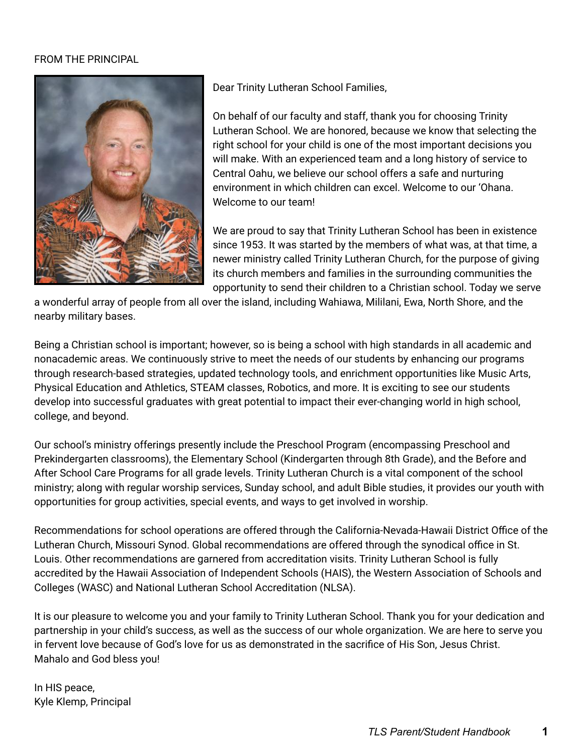# FROM THE PRINCIPAL



Dear Trinity Lutheran School Families,

On behalf of our faculty and staff, thank you for choosing Trinity Lutheran School. We are honored, because we know that selecting the right school for your child is one of the most important decisions you will make. With an experienced team and a long history of service to Central Oahu, we believe our school offers a safe and nurturing environment in which children can excel. Welcome to our 'Ohana. Welcome to our team!

We are proud to say that Trinity Lutheran School has been in existence since 1953. It was started by the members of what was, at that time, a newer ministry called Trinity Lutheran Church, for the purpose of giving its church members and families in the surrounding communities the opportunity to send their children to a Christian school. Today we serve

a wonderful array of people from all over the island, including Wahiawa, Mililani, Ewa, North Shore, and the nearby military bases.

Being a Christian school is important; however, so is being a school with high standards in all academic and nonacademic areas. We continuously strive to meet the needs of our students by enhancing our programs through research-based strategies, updated technology tools, and enrichment opportunities like Music Arts, Physical Education and Athletics, STEAM classes, Robotics, and more. It is exciting to see our students develop into successful graduates with great potential to impact their ever-changing world in high school, college, and beyond.

Our school's ministry offerings presently include the Preschool Program (encompassing Preschool and Prekindergarten classrooms), the Elementary School (Kindergarten through 8th Grade), and the Before and After School Care Programs for all grade levels. Trinity Lutheran Church is a vital component of the school ministry; along with regular worship services, Sunday school, and adult Bible studies, it provides our youth with opportunities for group activities, special events, and ways to get involved in worship.

Recommendations for school operations are offered through the California-Nevada-Hawaii District Office of the Lutheran Church, Missouri Synod. Global recommendations are offered through the synodical office in St. Louis. Other recommendations are garnered from accreditation visits. Trinity Lutheran School is fully accredited by the Hawaii Association of Independent Schools (HAIS), the Western Association of Schools and Colleges (WASC) and National Lutheran School Accreditation (NLSA).

It is our pleasure to welcome you and your family to Trinity Lutheran School. Thank you for your dedication and partnership in your child's success, as well as the success of our whole organization. We are here to serve you in fervent love because of God's love for us as demonstrated in the sacrifice of His Son, Jesus Christ. Mahalo and God bless you!

In HIS peace, Kyle Klemp, Principal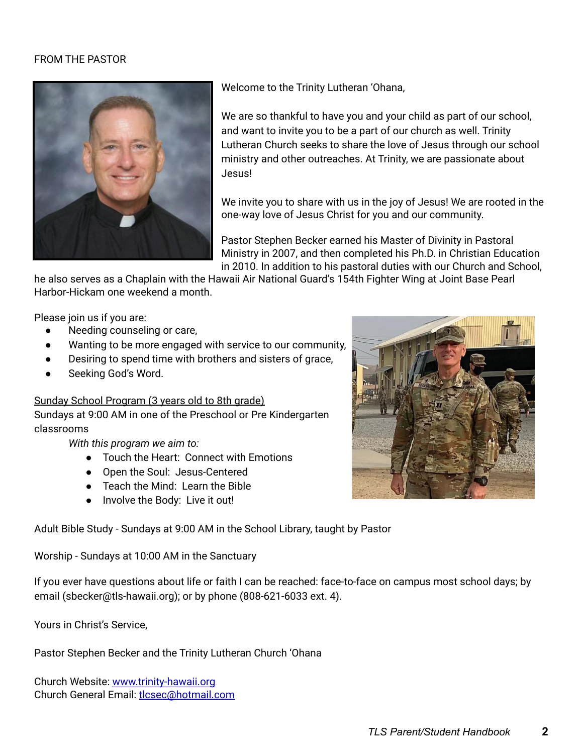#### FROM THE PASTOR



Welcome to the Trinity Lutheran 'Ohana,

We are so thankful to have you and your child as part of our school, and want to invite you to be a part of our church as well. Trinity Lutheran Church seeks to share the love of Jesus through our school ministry and other outreaches. At Trinity, we are passionate about Jesus!

We invite you to share with us in the joy of Jesus! We are rooted in the one-way love of Jesus Christ for you and our community.

Pastor Stephen Becker earned his Master of Divinity in Pastoral Ministry in 2007, and then completed his Ph.D. in Christian Education in 2010. In addition to his pastoral duties with our Church and School,

he also serves as a Chaplain with the Hawaii Air National Guard's 154th Fighter Wing at Joint Base Pearl Harbor-Hickam one weekend a month.

Please join us if you are:

- Needing counseling or care,
- Wanting to be more engaged with service to our community,
- Desiring to spend time with brothers and sisters of grace,
- Seeking God's Word.

Sunday School Program (3 years old to 8th grade)

Sundays at 9:00 AM in one of the Preschool or Pre Kindergarten classrooms

*With this program we aim to:*

- Touch the Heart: Connect with Emotions
- Open the Soul: Jesus-Centered
- Teach the Mind: Learn the Bible
- Involve the Body: Live it out!

Adult Bible Study - Sundays at 9:00 AM in the School Library, taught by Pastor

Worship - Sundays at 10:00 AM in the Sanctuary

If you ever have questions about life or faith I can be reached: face-to-face on campus most school days; by email (sbecker@tls-hawaii.org); or by phone (808-621-6033 ext. 4).

Yours in Christ's Service,

Pastor Stephen Becker and the Trinity Lutheran Church 'Ohana

Church Website: [www.trinity-hawaii.org](http://www.trinity-hawaii.org) Church General Email: [tlcsec@hotmail.com](mailto:tlcsec@hotmail.com)

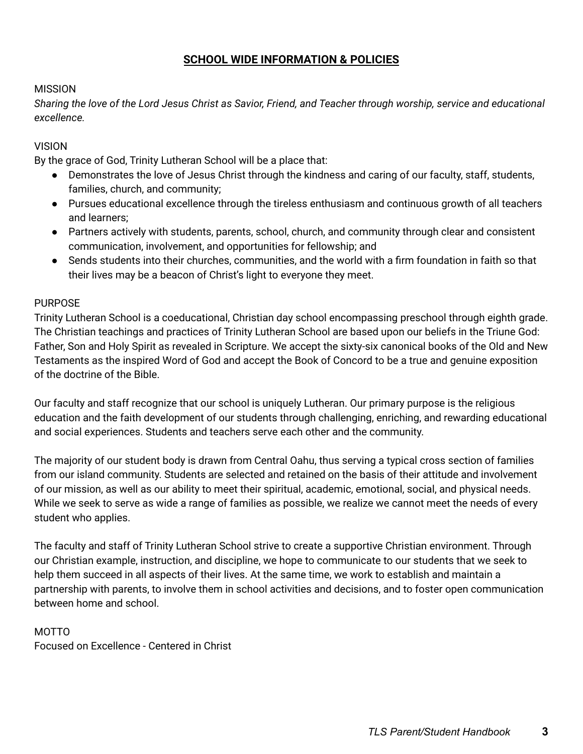# **SCHOOL WIDE INFORMATION & POLICIES**

#### MISSION

Sharing the love of the Lord Jesus Christ as Savior, Friend, and Teacher through worship, service and educational *excellence.*

#### VISION

By the grace of God, Trinity Lutheran School will be a place that:

- Demonstrates the love of Jesus Christ through the kindness and caring of our faculty, staff, students, families, church, and community;
- Pursues educational excellence through the tireless enthusiasm and continuous growth of all teachers and learners;
- Partners actively with students, parents, school, church, and community through clear and consistent communication, involvement, and opportunities for fellowship; and
- Sends students into their churches, communities, and the world with a firm foundation in faith so that their lives may be a beacon of Christ's light to everyone they meet.

#### PURPOSE

Trinity Lutheran School is a coeducational, Christian day school encompassing preschool through eighth grade. The Christian teachings and practices of Trinity Lutheran School are based upon our beliefs in the Triune God: Father, Son and Holy Spirit as revealed in Scripture. We accept the sixty-six canonical books of the Old and New Testaments as the inspired Word of God and accept the Book of Concord to be a true and genuine exposition of the doctrine of the Bible.

Our faculty and staff recognize that our school is uniquely Lutheran. Our primary purpose is the religious education and the faith development of our students through challenging, enriching, and rewarding educational and social experiences. Students and teachers serve each other and the community.

The majority of our student body is drawn from Central Oahu, thus serving a typical cross section of families from our island community. Students are selected and retained on the basis of their attitude and involvement of our mission, as well as our ability to meet their spiritual, academic, emotional, social, and physical needs. While we seek to serve as wide a range of families as possible, we realize we cannot meet the needs of every student who applies.

The faculty and staff of Trinity Lutheran School strive to create a supportive Christian environment. Through our Christian example, instruction, and discipline, we hope to communicate to our students that we seek to help them succeed in all aspects of their lives. At the same time, we work to establish and maintain a partnership with parents, to involve them in school activities and decisions, and to foster open communication between home and school.

# MOTTO

Focused on Excellence - Centered in Christ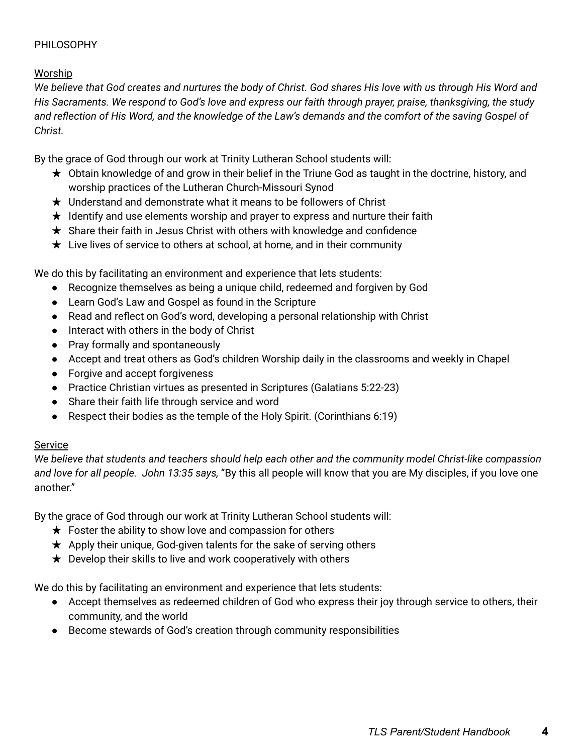# PHILOSOPHY

# Worship

We believe that God creates and nurtures the body of Christ. God shares His love with us through His Word and His Sacraments. We respond to God's love and express our faith through prayer, praise, thanksgiving, the study and reflection of His Word, and the knowledge of the Law's demands and the comfort of the saving Gospel of *Christ.*

By the grace of God through our work at Trinity Lutheran School students will:

- $\star$  Obtain knowledge of and grow in their belief in the Triune God as taught in the doctrine, history, and worship practices of the Lutheran Church-Missouri Synod
- $\star$  Understand and demonstrate what it means to be followers of Christ
- $\star$  Identify and use elements worship and prayer to express and nurture their faith
- ★ Share their faith in Jesus Christ with others with knowledge and confidence
- $\star$  Live lives of service to others at school, at home, and in their community

We do this by facilitating an environment and experience that lets students:

- Recognize themselves as being a unique child, redeemed and forgiven by God
- Learn God's Law and Gospel as found in the Scripture
- Read and reflect on God's word, developing a personal relationship with Christ
- Interact with others in the body of Christ
- Pray formally and spontaneously
- Accept and treat others as God's children Worship daily in the classrooms and weekly in Chapel
- Forgive and accept forgiveness
- Practice Christian virtues as presented in Scriptures (Galatians 5:22-23)
- Share their faith life through service and word
- Respect their bodies as the temple of the Holy Spirit. (Corinthians 6:19)

# Service

*We believe that students and teachers should help each other and the community model Christ-like compassion and love for all people. John 13:35 says,* "By this all people will know that you are My disciples, if you love one another."

By the grace of God through our work at Trinity Lutheran School students will:

- $\star$  Foster the ability to show love and compassion for others
- ★ Apply their unique, God-given talents for the sake of serving others
- $\star$  Develop their skills to live and work cooperatively with others

We do this by facilitating an environment and experience that lets students:

- Accept themselves as redeemed children of God who express their joy through service to others, their community, and the world
- Become stewards of God's creation through community responsibilities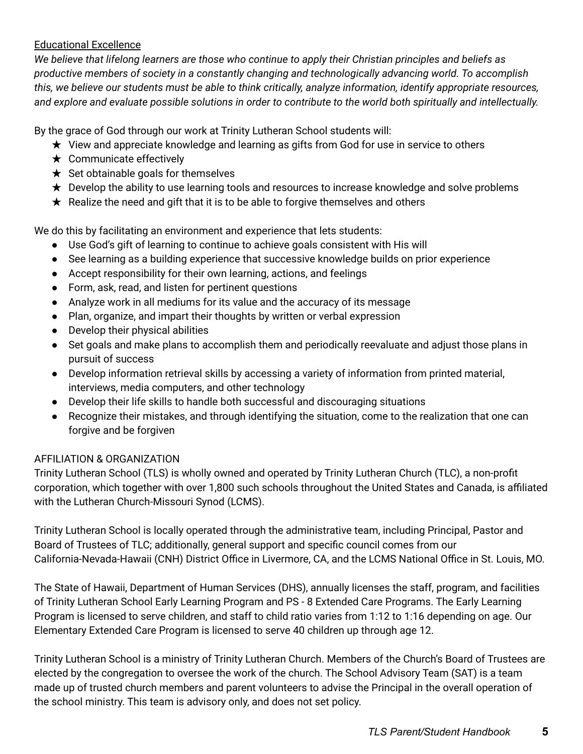# Educational Excellence

We believe that lifelong learners are those who continue to apply their Christian principles and beliefs as *productive members of society in a constantly changing and technologically advancing world. To accomplish* this, we believe our students must be able to think critically, analyze information, identify appropriate resources, and explore and evaluate possible solutions in order to contribute to the world both spiritually and intellectually.

By the grace of God through our work at Trinity Lutheran School students will:

- $\star$  View and appreciate knowledge and learning as gifts from God for use in service to others
- $\star$  Communicate effectively
- $\star$  Set obtainable goals for themselves
- ★ Develop the ability to use learning tools and resources to increase knowledge and solve problems
- $\star$  Realize the need and gift that it is to be able to forgive themselves and others

We do this by facilitating an environment and experience that lets students:

- Use God's gift of learning to continue to achieve goals consistent with His will
- See learning as a building experience that successive knowledge builds on prior experience
- Accept responsibility for their own learning, actions, and feelings
- Form, ask, read, and listen for pertinent questions
- Analyze work in all mediums for its value and the accuracy of its message
- Plan, organize, and impart their thoughts by written or verbal expression
- Develop their physical abilities
- Set goals and make plans to accomplish them and periodically reevaluate and adjust those plans in pursuit of success
- Develop information retrieval skills by accessing a variety of information from printed material, interviews, media computers, and other technology
- Develop their life skills to handle both successful and discouraging situations
- Recognize their mistakes, and through identifying the situation, come to the realization that one can forgive and be forgiven

# AFFILIATION & ORGANIZATION

Trinity Lutheran School (TLS) is wholly owned and operated by Trinity Lutheran Church (TLC), a non-profit corporation, which together with over 1,800 such schools throughout the United States and Canada, is affiliated with the Lutheran Church-Missouri Synod (LCMS).

Trinity Lutheran School is locally operated through the administrative team, including Principal, Pastor and Board of Trustees of TLC; additionally, general support and specific council comes from our California-Nevada-Hawaii (CNH) District Office in Livermore, CA, and the LCMS National Office in St. Louis, MO.

The State of Hawaii, Department of Human Services (DHS), annually licenses the staff, program, and facilities of Trinity Lutheran School Early Learning Program and PS - 8 Extended Care Programs. The Early Learning Program is licensed to serve children, and staff to child ratio varies from 1:12 to 1:16 depending on age. Our Elementary Extended Care Program is licensed to serve 40 children up through age 12.

Trinity Lutheran School is a ministry of Trinity Lutheran Church. Members of the Church's Board of Trustees are elected by the congregation to oversee the work of the church. The School Advisory Team (SAT) is a team made up of trusted church members and parent volunteers to advise the Principal in the overall operation of the school ministry. This team is advisory only, and does not set policy.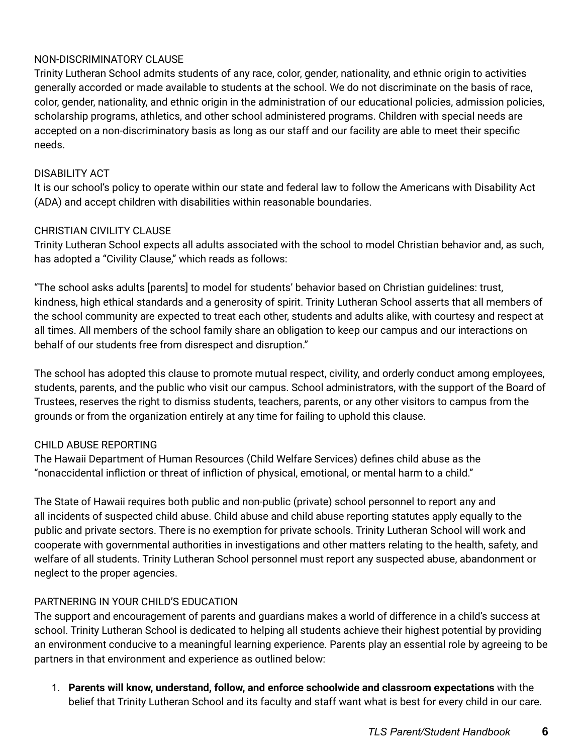# NON-DISCRIMINATORY CLAUSE

Trinity Lutheran School admits students of any race, color, gender, nationality, and ethnic origin to activities generally accorded or made available to students at the school. We do not discriminate on the basis of race, color, gender, nationality, and ethnic origin in the administration of our educational policies, admission policies, scholarship programs, athletics, and other school administered programs. Children with special needs are accepted on a non-discriminatory basis as long as our staff and our facility are able to meet their specific needs.

# DISABILITY ACT

It is our school's policy to operate within our state and federal law to follow the Americans with Disability Act (ADA) and accept children with disabilities within reasonable boundaries.

# CHRISTIAN CIVILITY CLAUSE

Trinity Lutheran School expects all adults associated with the school to model Christian behavior and, as such, has adopted a "Civility Clause," which reads as follows:

"The school asks adults [parents] to model for students' behavior based on Christian guidelines: trust, kindness, high ethical standards and a generosity of spirit. Trinity Lutheran School asserts that all members of the school community are expected to treat each other, students and adults alike, with courtesy and respect at all times. All members of the school family share an obligation to keep our campus and our interactions on behalf of our students free from disrespect and disruption."

The school has adopted this clause to promote mutual respect, civility, and orderly conduct among employees, students, parents, and the public who visit our campus. School administrators, with the support of the Board of Trustees, reserves the right to dismiss students, teachers, parents, or any other visitors to campus from the grounds or from the organization entirely at any time for failing to uphold this clause.

# CHILD ABUSE REPORTING

The Hawaii Department of Human Resources (Child Welfare Services) defines child abuse as the "nonaccidental infliction or threat of infliction of physical, emotional, or mental harm to a child."

The State of Hawaii requires both public and non-public (private) school personnel to report any and all incidents of suspected child abuse. Child abuse and child abuse reporting statutes apply equally to the public and private sectors. There is no exemption for private schools. Trinity Lutheran School will work and cooperate with governmental authorities in investigations and other matters relating to the health, safety, and welfare of all students. Trinity Lutheran School personnel must report any suspected abuse, abandonment or neglect to the proper agencies.

# PARTNERING IN YOUR CHILD'S EDUCATION

The support and encouragement of parents and guardians makes a world of difference in a child's success at school. Trinity Lutheran School is dedicated to helping all students achieve their highest potential by providing an environment conducive to a meaningful learning experience. Parents play an essential role by agreeing to be partners in that environment and experience as outlined below:

1. **Parents will know, understand, follow, and enforce schoolwide and classroom expectations** with the belief that Trinity Lutheran School and its faculty and staff want what is best for every child in our care.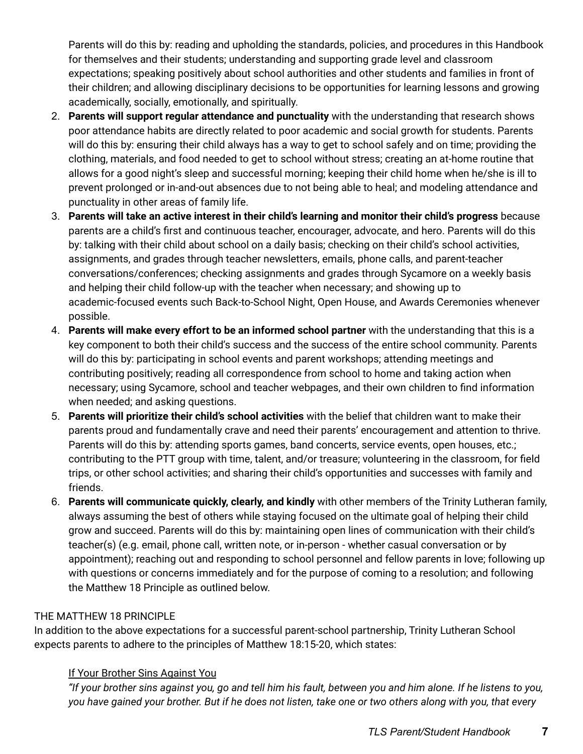Parents will do this by: reading and upholding the standards, policies, and procedures in this Handbook for themselves and their students; understanding and supporting grade level and classroom expectations; speaking positively about school authorities and other students and families in front of their children; and allowing disciplinary decisions to be opportunities for learning lessons and growing academically, socially, emotionally, and spiritually.

- 2. **Parents will support regular attendance and punctuality** with the understanding that research shows poor attendance habits are directly related to poor academic and social growth for students. Parents will do this by: ensuring their child always has a way to get to school safely and on time; providing the clothing, materials, and food needed to get to school without stress; creating an at-home routine that allows for a good night's sleep and successful morning; keeping their child home when he/she is ill to prevent prolonged or in-and-out absences due to not being able to heal; and modeling attendance and punctuality in other areas of family life.
- 3. **Parents will take an active interest in their child's learning and monitor their child's progress** because parents are a child's first and continuous teacher, encourager, advocate, and hero. Parents will do this by: talking with their child about school on a daily basis; checking on their child's school activities, assignments, and grades through teacher newsletters, emails, phone calls, and parent-teacher conversations/conferences; checking assignments and grades through Sycamore on a weekly basis and helping their child follow-up with the teacher when necessary; and showing up to academic-focused events such Back-to-School Night, Open House, and Awards Ceremonies whenever possible.
- 4. **Parents will make every effort to be an informed school partner** with the understanding that this is a key component to both their child's success and the success of the entire school community. Parents will do this by: participating in school events and parent workshops; attending meetings and contributing positively; reading all correspondence from school to home and taking action when necessary; using Sycamore, school and teacher webpages, and their own children to find information when needed; and asking questions.
- 5. **Parents will prioritize their child's school activities** with the belief that children want to make their parents proud and fundamentally crave and need their parents' encouragement and attention to thrive. Parents will do this by: attending sports games, band concerts, service events, open houses, etc.; contributing to the PTT group with time, talent, and/or treasure; volunteering in the classroom, for field trips, or other school activities; and sharing their child's opportunities and successes with family and friends.
- 6. **Parents will communicate quickly, clearly, and kindly** with other members of the Trinity Lutheran family, always assuming the best of others while staying focused on the ultimate goal of helping their child grow and succeed. Parents will do this by: maintaining open lines of communication with their child's teacher(s) (e.g. email, phone call, written note, or in-person - whether casual conversation or by appointment); reaching out and responding to school personnel and fellow parents in love; following up with questions or concerns immediately and for the purpose of coming to a resolution; and following the Matthew 18 Principle as outlined below.

# THE MATTHEW 18 PRINCIPLE

In addition to the above expectations for a successful parent-school partnership, Trinity Lutheran School expects parents to adhere to the principles of Matthew 18:15-20, which states:

# If Your Brother Sins Against You

"If your brother sins against you, go and tell him his fault, between you and him alone. If he listens to you, you have gained your brother. But if he does not listen, take one or two others along with you, that every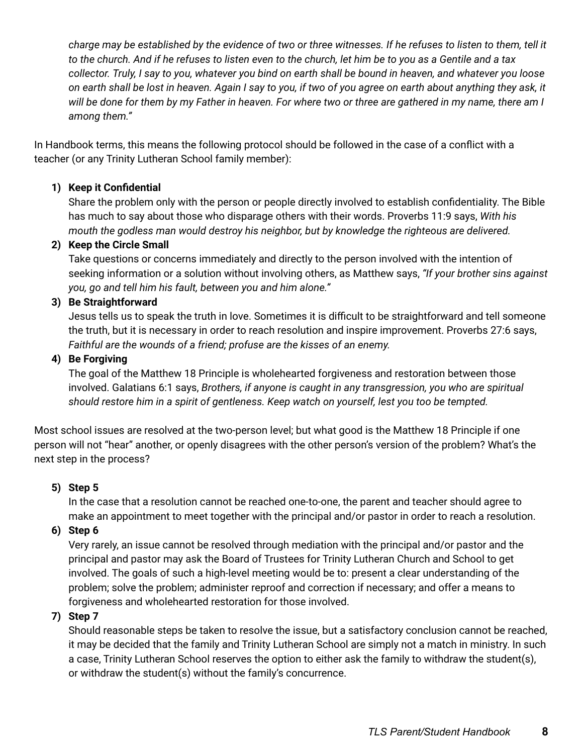charge may be established by the evidence of two or three witnesses. If he refuses to listen to them, tell it to the church. And if he refuses to listen even to the church, let him be to you as a Gentile and a tax collector. Truly, I say to you, whatever you bind on earth shall be bound in heaven, and whatever you loose on earth shall be lost in heaven. Again I say to you, if two of you agree on earth about anything they ask, it will be done for them by my Father in heaven. For where two or three are gathered in my name, there am I *among them."*

In Handbook terms, this means the following protocol should be followed in the case of a conflict with a teacher (or any Trinity Lutheran School family member):

# **1) Keep it Confidential**

Share the problem only with the person or people directly involved to establish confidentiality. The Bible has much to say about those who disparage others with their words. Proverbs 11:9 says, *With his mouth the godless man would destroy his neighbor, but by knowledge the righteous are delivered.*

# **2) Keep the Circle Small**

Take questions or concerns immediately and directly to the person involved with the intention of seeking information or a solution without involving others, as Matthew says, *"If your brother sins against you, go and tell him his fault, between you and him alone."*

# **3) Be Straightforward**

Jesus tells us to speak the truth in love. Sometimes it is difficult to be straightforward and tell someone the truth, but it is necessary in order to reach resolution and inspire improvement. Proverbs 27:6 says, *Faithful are the wounds of a friend; profuse are the kisses of an enemy.*

# **4) Be Forgiving**

The goal of the Matthew 18 Principle is wholehearted forgiveness and restoration between those involved. Galatians 6:1 says, *Brothers, if anyone is caught in any transgression, you who are spiritual should restore him in a spirit of gentleness. Keep watch on yourself, lest you too be tempted.*

Most school issues are resolved at the two-person level; but what good is the Matthew 18 Principle if one person will not "hear" another, or openly disagrees with the other person's version of the problem? What's the next step in the process?

# **5) Step 5**

In the case that a resolution cannot be reached one-to-one, the parent and teacher should agree to make an appointment to meet together with the principal and/or pastor in order to reach a resolution.

**6) Step 6**

Very rarely, an issue cannot be resolved through mediation with the principal and/or pastor and the principal and pastor may ask the Board of Trustees for Trinity Lutheran Church and School to get involved. The goals of such a high-level meeting would be to: present a clear understanding of the problem; solve the problem; administer reproof and correction if necessary; and offer a means to forgiveness and wholehearted restoration for those involved.

# **7) Step 7**

Should reasonable steps be taken to resolve the issue, but a satisfactory conclusion cannot be reached, it may be decided that the family and Trinity Lutheran School are simply not a match in ministry. In such a case, Trinity Lutheran School reserves the option to either ask the family to withdraw the student(s), or withdraw the student(s) without the family's concurrence.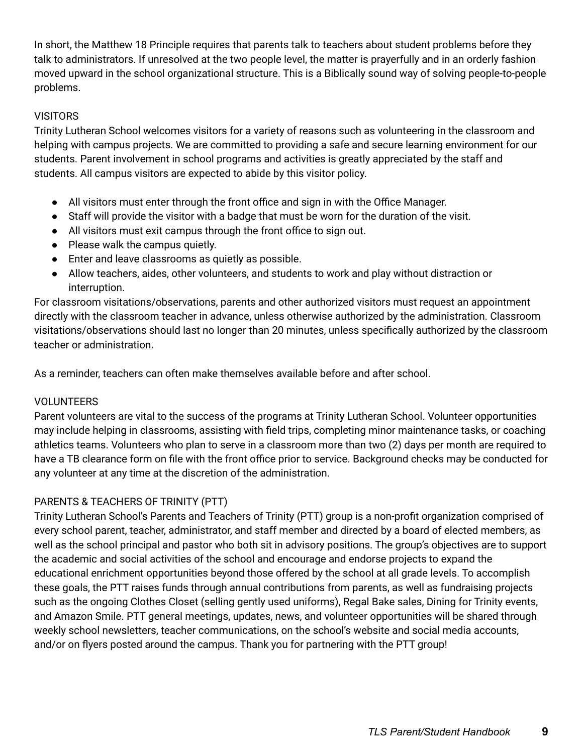In short, the Matthew 18 Principle requires that parents talk to teachers about student problems before they talk to administrators. If unresolved at the two people level, the matter is prayerfully and in an orderly fashion moved upward in the school organizational structure. This is a Biblically sound way of solving people-to-people problems.

# **VISITORS**

Trinity Lutheran School welcomes visitors for a variety of reasons such as volunteering in the classroom and helping with campus projects. We are committed to providing a safe and secure learning environment for our students. Parent involvement in school programs and activities is greatly appreciated by the staff and students. All campus visitors are expected to abide by this visitor policy.

- All visitors must enter through the front office and sign in with the Office Manager.
- Staff will provide the visitor with a badge that must be worn for the duration of the visit.
- All visitors must exit campus through the front office to sign out.
- Please walk the campus quietly.
- Enter and leave classrooms as quietly as possible.
- Allow teachers, aides, other volunteers, and students to work and play without distraction or interruption.

For classroom visitations/observations, parents and other authorized visitors must request an appointment directly with the classroom teacher in advance, unless otherwise authorized by the administration. Classroom visitations/observations should last no longer than 20 minutes, unless specifically authorized by the classroom teacher or administration.

As a reminder, teachers can often make themselves available before and after school.

# VOLUNTEERS

Parent volunteers are vital to the success of the programs at Trinity Lutheran School. Volunteer opportunities may include helping in classrooms, assisting with field trips, completing minor maintenance tasks, or coaching athletics teams. Volunteers who plan to serve in a classroom more than two (2) days per month are required to have a TB clearance form on file with the front office prior to service. Background checks may be conducted for any volunteer at any time at the discretion of the administration.

# PARENTS & TEACHERS OF TRINITY (PTT)

Trinity Lutheran School's Parents and Teachers of Trinity (PTT) group is a non-profit organization comprised of every school parent, teacher, administrator, and staff member and directed by a board of elected members, as well as the school principal and pastor who both sit in advisory positions. The group's objectives are to support the academic and social activities of the school and encourage and endorse projects to expand the educational enrichment opportunities beyond those offered by the school at all grade levels. To accomplish these goals, the PTT raises funds through annual contributions from parents, as well as fundraising projects such as the ongoing Clothes Closet (selling gently used uniforms), Regal Bake sales, Dining for Trinity events, and Amazon Smile. PTT general meetings, updates, news, and volunteer opportunities will be shared through weekly school newsletters, teacher communications, on the school's website and social media accounts, and/or on flyers posted around the campus. Thank you for partnering with the PTT group!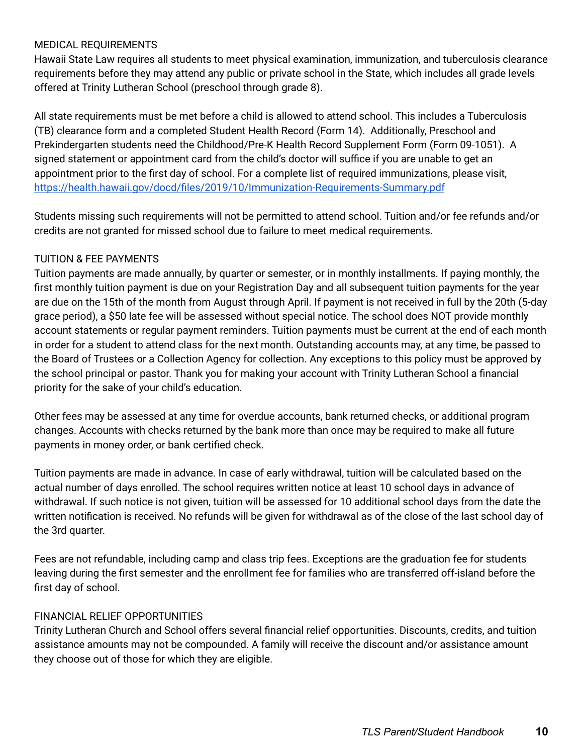#### MEDICAL REQUIREMENTS

Hawaii State Law requires all students to meet physical examination, immunization, and tuberculosis clearance requirements before they may attend any public or private school in the State, which includes all grade levels offered at Trinity Lutheran School (preschool through grade 8).

All state requirements must be met before a child is allowed to attend school. This includes a Tuberculosis (TB) clearance form and a completed Student Health Record (Form 14). Additionally, Preschool and Prekindergarten students need the Childhood/Pre-K Health Record Supplement Form (Form 09-1051). A signed statement or appointment card from the child's doctor will suffice if you are unable to get an appointment prior to the first day of school. For a complete list of required immunizations, please visit, <https://health.hawaii.gov/docd/files/2019/10/Immunization-Requirements-Summary.pdf>

Students missing such requirements will not be permitted to attend school. Tuition and/or fee refunds and/or credits are not granted for missed school due to failure to meet medical requirements.

#### TUITION & FEE PAYMENTS

Tuition payments are made annually, by quarter or semester, or in monthly installments. If paying monthly, the first monthly tuition payment is due on your Registration Day and all subsequent tuition payments for the year are due on the 15th of the month from August through April. If payment is not received in full by the 20th (5-day grace period), a \$50 late fee will be assessed without special notice. The school does NOT provide monthly account statements or regular payment reminders. Tuition payments must be current at the end of each month in order for a student to attend class for the next month. Outstanding accounts may, at any time, be passed to the Board of Trustees or a Collection Agency for collection. Any exceptions to this policy must be approved by the school principal or pastor. Thank you for making your account with Trinity Lutheran School a financial priority for the sake of your child's education.

Other fees may be assessed at any time for overdue accounts, bank returned checks, or additional program changes. Accounts with checks returned by the bank more than once may be required to make all future payments in money order, or bank certified check.

Tuition payments are made in advance. In case of early withdrawal, tuition will be calculated based on the actual number of days enrolled. The school requires written notice at least 10 school days in advance of withdrawal. If such notice is not given, tuition will be assessed for 10 additional school days from the date the written notification is received. No refunds will be given for withdrawal as of the close of the last school day of the 3rd quarter.

Fees are not refundable, including camp and class trip fees. Exceptions are the graduation fee for students leaving during the first semester and the enrollment fee for families who are transferred off-island before the first day of school.

#### FINANCIAL RELIEF OPPORTUNITIES

Trinity Lutheran Church and School offers several financial relief opportunities. Discounts, credits, and tuition assistance amounts may not be compounded. A family will receive the discount and/or assistance amount they choose out of those for which they are eligible.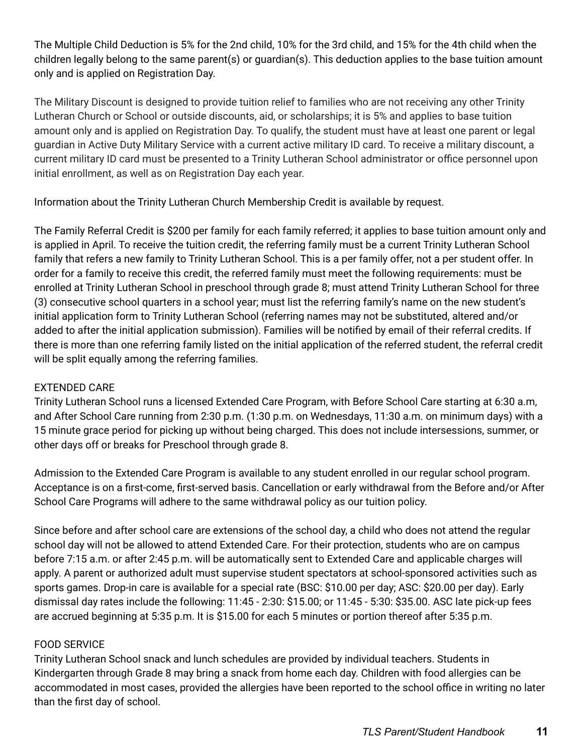The Multiple Child Deduction is 5% for the 2nd child, 10% for the 3rd child, and 15% for the 4th child when the children legally belong to the same parent(s) or guardian(s). This deduction applies to the base tuition amount only and is applied on Registration Day.

The Military Discount is designed to provide tuition relief to families who are not receiving any other Trinity Lutheran Church or School or outside discounts, aid, or scholarships; it is 5% and applies to base tuition amount only and is applied on Registration Day. To qualify, the student must have at least one parent or legal guardian in Active Duty Military Service with a current active military ID card. To receive a military discount, a current military ID card must be presented to a Trinity Lutheran School administrator or office personnel upon initial enrollment, as well as on Registration Day each year.

Information about the Trinity Lutheran Church Membership Credit is available by request.

The Family Referral Credit is \$200 per family for each family referred; it applies to base tuition amount only and is applied in April. To receive the tuition credit, the referring family must be a current Trinity Lutheran School family that refers a new family to Trinity Lutheran School. This is a per family offer, not a per student offer. In order for a family to receive this credit, the referred family must meet the following requirements: must be enrolled at Trinity Lutheran School in preschool through grade 8; must attend Trinity Lutheran School for three (3) consecutive school quarters in a school year; must list the referring family's name on the new student's initial application form to Trinity Lutheran School (referring names may not be substituted, altered and/or added to after the initial application submission). Families will be notified by email of their referral credits. If there is more than one referring family listed on the initial application of the referred student, the referral credit will be split equally among the referring families.

# EXTENDED CARE

Trinity Lutheran School runs a licensed Extended Care Program, with Before School Care starting at 6:30 a.m, and After School Care running from 2:30 p.m. (1:30 p.m. on Wednesdays, 11:30 a.m. on minimum days) with a 15 minute grace period for picking up without being charged. This does not include intersessions, summer, or other days off or breaks for Preschool through grade 8.

Admission to the Extended Care Program is available to any student enrolled in our regular school program. Acceptance is on a first-come, first-served basis. Cancellation or early withdrawal from the Before and/or After School Care Programs will adhere to the same withdrawal policy as our tuition policy.

Since before and after school care are extensions of the school day, a child who does not attend the regular school day will not be allowed to attend Extended Care. For their protection, students who are on campus before 7:15 a.m. or after 2:45 p.m. will be automatically sent to Extended Care and applicable charges will apply. A parent or authorized adult must supervise student spectators at school-sponsored activities such as sports games. Drop-in care is available for a special rate (BSC: \$10.00 per day; ASC: \$20.00 per day). Early dismissal day rates include the following: 11:45 - 2:30: \$15.00; or 11:45 - 5:30: \$35.00. ASC late pick-up fees are accrued beginning at 5:35 p.m. It is \$15.00 for each 5 minutes or portion thereof after 5:35 p.m.

# FOOD SERVICE

Trinity Lutheran School snack and lunch schedules are provided by individual teachers. Students in Kindergarten through Grade 8 may bring a snack from home each day. Children with food allergies can be accommodated in most cases, provided the allergies have been reported to the school office in writing no later than the first day of school.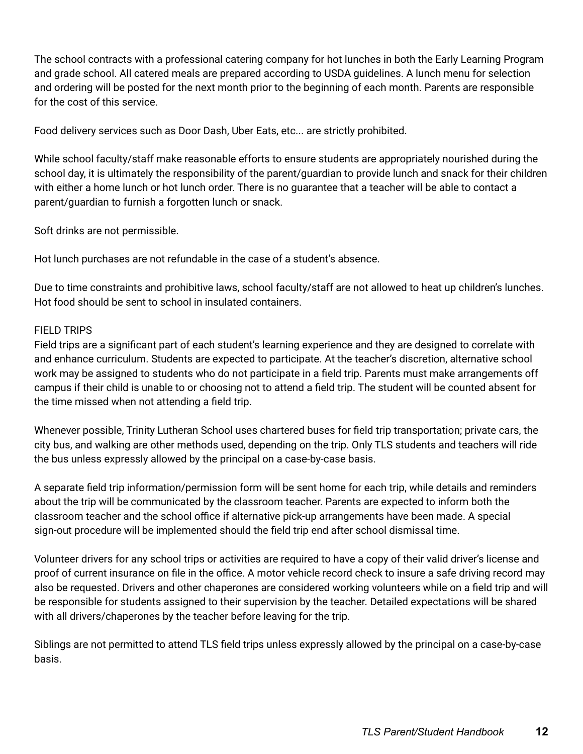The school contracts with a professional catering company for hot lunches in both the Early Learning Program and grade school. All catered meals are prepared according to USDA guidelines. A lunch menu for selection and ordering will be posted for the next month prior to the beginning of each month. Parents are responsible for the cost of this service.

Food delivery services such as Door Dash, Uber Eats, etc... are strictly prohibited.

While school faculty/staff make reasonable efforts to ensure students are appropriately nourished during the school day, it is ultimately the responsibility of the parent/guardian to provide lunch and snack for their children with either a home lunch or hot lunch order. There is no guarantee that a teacher will be able to contact a parent/guardian to furnish a forgotten lunch or snack.

Soft drinks are not permissible.

Hot lunch purchases are not refundable in the case of a student's absence.

Due to time constraints and prohibitive laws, school faculty/staff are not allowed to heat up children's lunches. Hot food should be sent to school in insulated containers.

#### FIELD TRIPS

Field trips are a significant part of each student's learning experience and they are designed to correlate with and enhance curriculum. Students are expected to participate. At the teacher's discretion, alternative school work may be assigned to students who do not participate in a field trip. Parents must make arrangements off campus if their child is unable to or choosing not to attend a field trip. The student will be counted absent for the time missed when not attending a field trip.

Whenever possible, Trinity Lutheran School uses chartered buses for field trip transportation; private cars, the city bus, and walking are other methods used, depending on the trip. Only TLS students and teachers will ride the bus unless expressly allowed by the principal on a case-by-case basis.

A separate field trip information/permission form will be sent home for each trip, while details and reminders about the trip will be communicated by the classroom teacher. Parents are expected to inform both the classroom teacher and the school office if alternative pick-up arrangements have been made. A special sign-out procedure will be implemented should the field trip end after school dismissal time.

Volunteer drivers for any school trips or activities are required to have a copy of their valid driver's license and proof of current insurance on file in the office. A motor vehicle record check to insure a safe driving record may also be requested. Drivers and other chaperones are considered working volunteers while on a field trip and will be responsible for students assigned to their supervision by the teacher. Detailed expectations will be shared with all drivers/chaperones by the teacher before leaving for the trip.

Siblings are not permitted to attend TLS field trips unless expressly allowed by the principal on a case-by-case basis.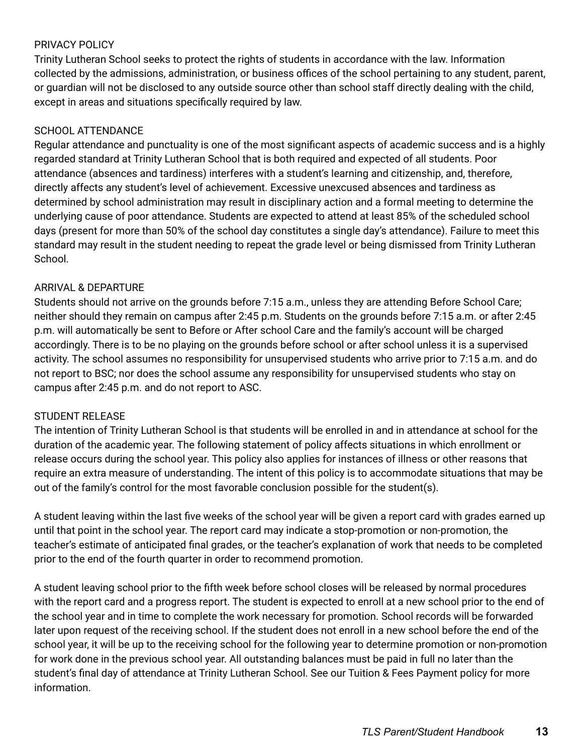# PRIVACY POLICY

Trinity Lutheran School seeks to protect the rights of students in accordance with the law. Information collected by the admissions, administration, or business offices of the school pertaining to any student, parent, or guardian will not be disclosed to any outside source other than school staff directly dealing with the child, except in areas and situations specifically required by law.

# SCHOOL ATTENDANCE

Regular attendance and punctuality is one of the most significant aspects of academic success and is a highly regarded standard at Trinity Lutheran School that is both required and expected of all students. Poor attendance (absences and tardiness) interferes with a student's learning and citizenship, and, therefore, directly affects any student's level of achievement. Excessive unexcused absences and tardiness as determined by school administration may result in disciplinary action and a formal meeting to determine the underlying cause of poor attendance. Students are expected to attend at least 85% of the scheduled school days (present for more than 50% of the school day constitutes a single day's attendance). Failure to meet this standard may result in the student needing to repeat the grade level or being dismissed from Trinity Lutheran School.

# ARRIVAL & DEPARTURE

Students should not arrive on the grounds before 7:15 a.m., unless they are attending Before School Care; neither should they remain on campus after 2:45 p.m. Students on the grounds before 7:15 a.m. or after 2:45 p.m. will automatically be sent to Before or After school Care and the family's account will be charged accordingly. There is to be no playing on the grounds before school or after school unless it is a supervised activity. The school assumes no responsibility for unsupervised students who arrive prior to 7:15 a.m. and do not report to BSC; nor does the school assume any responsibility for unsupervised students who stay on campus after 2:45 p.m. and do not report to ASC.

# STUDENT RELEASE

The intention of Trinity Lutheran School is that students will be enrolled in and in attendance at school for the duration of the academic year. The following statement of policy affects situations in which enrollment or release occurs during the school year. This policy also applies for instances of illness or other reasons that require an extra measure of understanding. The intent of this policy is to accommodate situations that may be out of the family's control for the most favorable conclusion possible for the student(s).

A student leaving within the last five weeks of the school year will be given a report card with grades earned up until that point in the school year. The report card may indicate a stop-promotion or non-promotion, the teacher's estimate of anticipated final grades, or the teacher's explanation of work that needs to be completed prior to the end of the fourth quarter in order to recommend promotion.

A student leaving school prior to the fifth week before school closes will be released by normal procedures with the report card and a progress report. The student is expected to enroll at a new school prior to the end of the school year and in time to complete the work necessary for promotion. School records will be forwarded later upon request of the receiving school. If the student does not enroll in a new school before the end of the school year, it will be up to the receiving school for the following year to determine promotion or non-promotion for work done in the previous school year. All outstanding balances must be paid in full no later than the student's final day of attendance at Trinity Lutheran School. See our Tuition & Fees Payment policy for more information.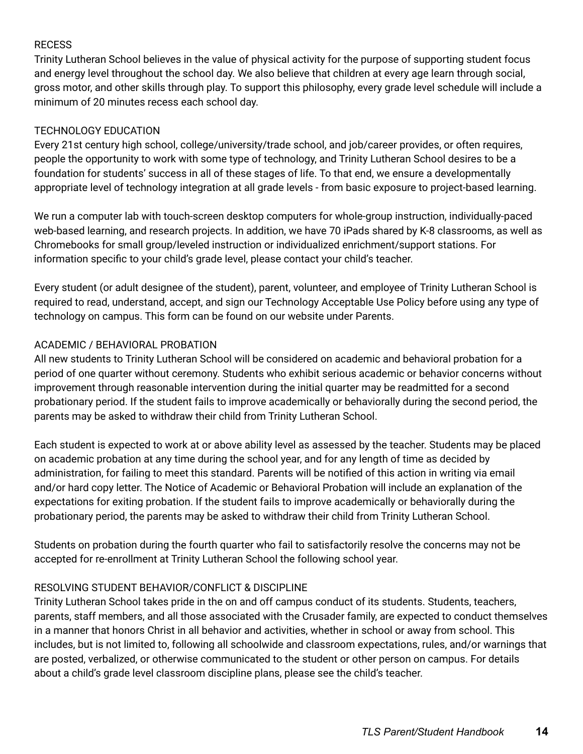# RECESS

Trinity Lutheran School believes in the value of physical activity for the purpose of supporting student focus and energy level throughout the school day. We also believe that children at every age learn through social, gross motor, and other skills through play. To support this philosophy, every grade level schedule will include a minimum of 20 minutes recess each school day.

# TECHNOLOGY EDUCATION

Every 21st century high school, college/university/trade school, and job/career provides, or often requires, people the opportunity to work with some type of technology, and Trinity Lutheran School desires to be a foundation for students' success in all of these stages of life. To that end, we ensure a developmentally appropriate level of technology integration at all grade levels - from basic exposure to project-based learning.

We run a computer lab with touch-screen desktop computers for whole-group instruction, individually-paced web-based learning, and research projects. In addition, we have 70 iPads shared by K-8 classrooms, as well as Chromebooks for small group/leveled instruction or individualized enrichment/support stations. For information specific to your child's grade level, please contact your child's teacher.

Every student (or adult designee of the student), parent, volunteer, and employee of Trinity Lutheran School is required to read, understand, accept, and sign our Technology Acceptable Use Policy before using any type of technology on campus. This form can be found on our website under Parents.

# ACADEMIC / BEHAVIORAL PROBATION

All new students to Trinity Lutheran School will be considered on academic and behavioral probation for a period of one quarter without ceremony. Students who exhibit serious academic or behavior concerns without improvement through reasonable intervention during the initial quarter may be readmitted for a second probationary period. If the student fails to improve academically or behaviorally during the second period, the parents may be asked to withdraw their child from Trinity Lutheran School.

Each student is expected to work at or above ability level as assessed by the teacher. Students may be placed on academic probation at any time during the school year, and for any length of time as decided by administration, for failing to meet this standard. Parents will be notified of this action in writing via email and/or hard copy letter. The Notice of Academic or Behavioral Probation will include an explanation of the expectations for exiting probation. If the student fails to improve academically or behaviorally during the probationary period, the parents may be asked to withdraw their child from Trinity Lutheran School.

Students on probation during the fourth quarter who fail to satisfactorily resolve the concerns may not be accepted for re-enrollment at Trinity Lutheran School the following school year.

# RESOLVING STUDENT BEHAVIOR/CONFLICT & DISCIPLINE

Trinity Lutheran School takes pride in the on and off campus conduct of its students. Students, teachers, parents, staff members, and all those associated with the Crusader family, are expected to conduct themselves in a manner that honors Christ in all behavior and activities, whether in school or away from school. This includes, but is not limited to, following all schoolwide and classroom expectations, rules, and/or warnings that are posted, verbalized, or otherwise communicated to the student or other person on campus. For details about a child's grade level classroom discipline plans, please see the child's teacher.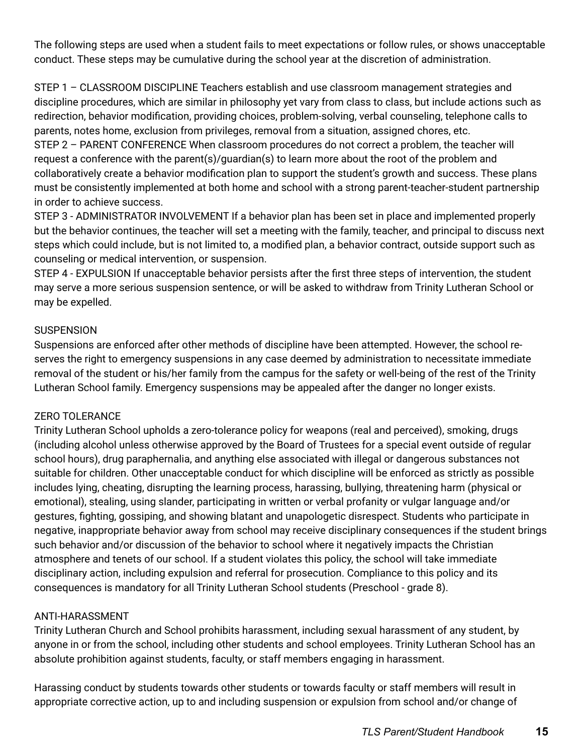The following steps are used when a student fails to meet expectations or follow rules, or shows unacceptable conduct. These steps may be cumulative during the school year at the discretion of administration.

STEP 1 – CLASSROOM DISCIPLINE Teachers establish and use classroom management strategies and discipline procedures, which are similar in philosophy yet vary from class to class, but include actions such as redirection, behavior modification, providing choices, problem-solving, verbal counseling, telephone calls to parents, notes home, exclusion from privileges, removal from a situation, assigned chores, etc.

STEP 2 – PARENT CONFERENCE When classroom procedures do not correct a problem, the teacher will request a conference with the parent(s)/guardian(s) to learn more about the root of the problem and collaboratively create a behavior modification plan to support the student's growth and success. These plans must be consistently implemented at both home and school with a strong parent-teacher-student partnership in order to achieve success.

STEP 3 - ADMINISTRATOR INVOLVEMENT If a behavior plan has been set in place and implemented properly but the behavior continues, the teacher will set a meeting with the family, teacher, and principal to discuss next steps which could include, but is not limited to, a modified plan, a behavior contract, outside support such as counseling or medical intervention, or suspension.

STEP 4 - EXPULSION If unacceptable behavior persists after the first three steps of intervention, the student may serve a more serious suspension sentence, or will be asked to withdraw from Trinity Lutheran School or may be expelled.

# **SUSPENSION**

Suspensions are enforced after other methods of discipline have been attempted. However, the school reserves the right to emergency suspensions in any case deemed by administration to necessitate immediate removal of the student or his/her family from the campus for the safety or well-being of the rest of the Trinity Lutheran School family. Emergency suspensions may be appealed after the danger no longer exists.

# ZERO TOLERANCE

Trinity Lutheran School upholds a zero-tolerance policy for weapons (real and perceived), smoking, drugs (including alcohol unless otherwise approved by the Board of Trustees for a special event outside of regular school hours), drug paraphernalia, and anything else associated with illegal or dangerous substances not suitable for children. Other unacceptable conduct for which discipline will be enforced as strictly as possible includes lying, cheating, disrupting the learning process, harassing, bullying, threatening harm (physical or emotional), stealing, using slander, participating in written or verbal profanity or vulgar language and/or gestures, fighting, gossiping, and showing blatant and unapologetic disrespect. Students who participate in negative, inappropriate behavior away from school may receive disciplinary consequences if the student brings such behavior and/or discussion of the behavior to school where it negatively impacts the Christian atmosphere and tenets of our school. If a student violates this policy, the school will take immediate disciplinary action, including expulsion and referral for prosecution. Compliance to this policy and its consequences is mandatory for all Trinity Lutheran School students (Preschool - grade 8).

# ANTI-HARASSMENT

Trinity Lutheran Church and School prohibits harassment, including sexual harassment of any student, by anyone in or from the school, including other students and school employees. Trinity Lutheran School has an absolute prohibition against students, faculty, or staff members engaging in harassment.

Harassing conduct by students towards other students or towards faculty or staff members will result in appropriate corrective action, up to and including suspension or expulsion from school and/or change of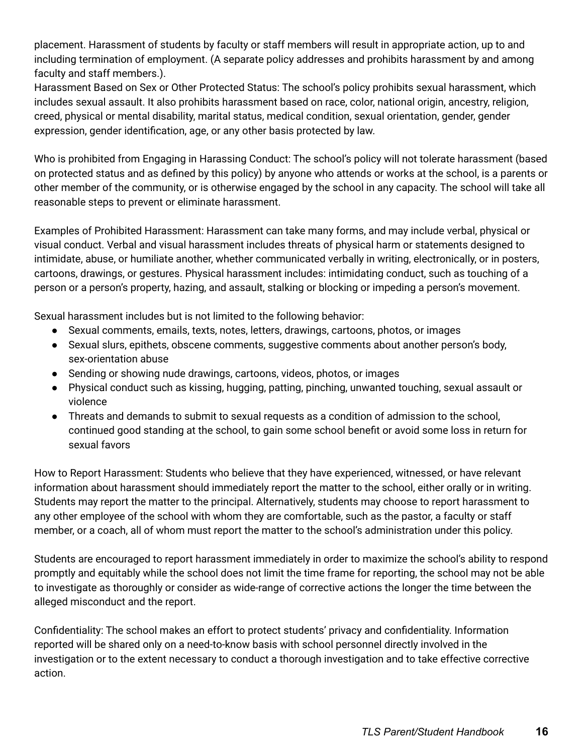placement. Harassment of students by faculty or staff members will result in appropriate action, up to and including termination of employment. (A separate policy addresses and prohibits harassment by and among faculty and staff members.).

Harassment Based on Sex or Other Protected Status: The school's policy prohibits sexual harassment, which includes sexual assault. It also prohibits harassment based on race, color, national origin, ancestry, religion, creed, physical or mental disability, marital status, medical condition, sexual orientation, gender, gender expression, gender identification, age, or any other basis protected by law.

Who is prohibited from Engaging in Harassing Conduct: The school's policy will not tolerate harassment (based on protected status and as defined by this policy) by anyone who attends or works at the school, is a parents or other member of the community, or is otherwise engaged by the school in any capacity. The school will take all reasonable steps to prevent or eliminate harassment.

Examples of Prohibited Harassment: Harassment can take many forms, and may include verbal, physical or visual conduct. Verbal and visual harassment includes threats of physical harm or statements designed to intimidate, abuse, or humiliate another, whether communicated verbally in writing, electronically, or in posters, cartoons, drawings, or gestures. Physical harassment includes: intimidating conduct, such as touching of a person or a person's property, hazing, and assault, stalking or blocking or impeding a person's movement.

Sexual harassment includes but is not limited to the following behavior:

- Sexual comments, emails, texts, notes, letters, drawings, cartoons, photos, or images
- Sexual slurs, epithets, obscene comments, suggestive comments about another person's body, sex-orientation abuse
- Sending or showing nude drawings, cartoons, videos, photos, or images
- Physical conduct such as kissing, hugging, patting, pinching, unwanted touching, sexual assault or violence
- Threats and demands to submit to sexual requests as a condition of admission to the school, continued good standing at the school, to gain some school benefit or avoid some loss in return for sexual favors

How to Report Harassment: Students who believe that they have experienced, witnessed, or have relevant information about harassment should immediately report the matter to the school, either orally or in writing. Students may report the matter to the principal. Alternatively, students may choose to report harassment to any other employee of the school with whom they are comfortable, such as the pastor, a faculty or staff member, or a coach, all of whom must report the matter to the school's administration under this policy.

Students are encouraged to report harassment immediately in order to maximize the school's ability to respond promptly and equitably while the school does not limit the time frame for reporting, the school may not be able to investigate as thoroughly or consider as wide-range of corrective actions the longer the time between the alleged misconduct and the report.

Confidentiality: The school makes an effort to protect students' privacy and confidentiality. Information reported will be shared only on a need-to-know basis with school personnel directly involved in the investigation or to the extent necessary to conduct a thorough investigation and to take effective corrective action.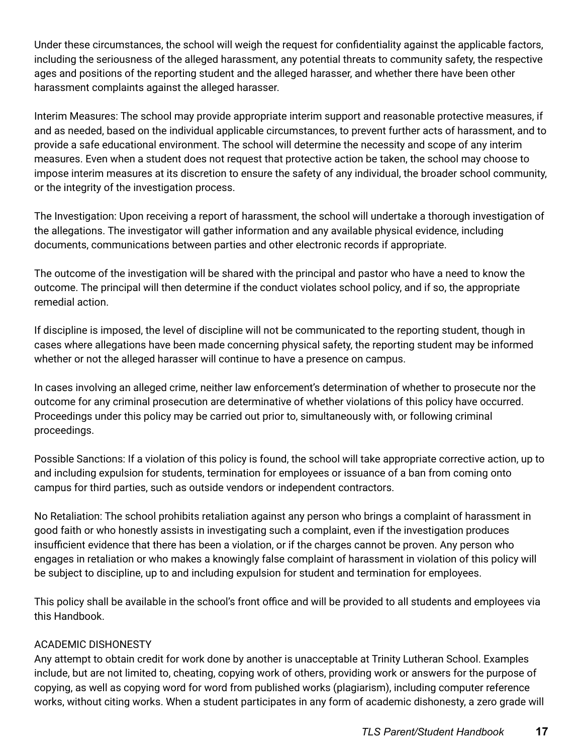Under these circumstances, the school will weigh the request for confidentiality against the applicable factors, including the seriousness of the alleged harassment, any potential threats to community safety, the respective ages and positions of the reporting student and the alleged harasser, and whether there have been other harassment complaints against the alleged harasser.

Interim Measures: The school may provide appropriate interim support and reasonable protective measures, if and as needed, based on the individual applicable circumstances, to prevent further acts of harassment, and to provide a safe educational environment. The school will determine the necessity and scope of any interim measures. Even when a student does not request that protective action be taken, the school may choose to impose interim measures at its discretion to ensure the safety of any individual, the broader school community, or the integrity of the investigation process.

The Investigation: Upon receiving a report of harassment, the school will undertake a thorough investigation of the allegations. The investigator will gather information and any available physical evidence, including documents, communications between parties and other electronic records if appropriate.

The outcome of the investigation will be shared with the principal and pastor who have a need to know the outcome. The principal will then determine if the conduct violates school policy, and if so, the appropriate remedial action.

If discipline is imposed, the level of discipline will not be communicated to the reporting student, though in cases where allegations have been made concerning physical safety, the reporting student may be informed whether or not the alleged harasser will continue to have a presence on campus.

In cases involving an alleged crime, neither law enforcement's determination of whether to prosecute nor the outcome for any criminal prosecution are determinative of whether violations of this policy have occurred. Proceedings under this policy may be carried out prior to, simultaneously with, or following criminal proceedings.

Possible Sanctions: If a violation of this policy is found, the school will take appropriate corrective action, up to and including expulsion for students, termination for employees or issuance of a ban from coming onto campus for third parties, such as outside vendors or independent contractors.

No Retaliation: The school prohibits retaliation against any person who brings a complaint of harassment in good faith or who honestly assists in investigating such a complaint, even if the investigation produces insufficient evidence that there has been a violation, or if the charges cannot be proven. Any person who engages in retaliation or who makes a knowingly false complaint of harassment in violation of this policy will be subject to discipline, up to and including expulsion for student and termination for employees.

This policy shall be available in the school's front office and will be provided to all students and employees via this Handbook.

# ACADEMIC DISHONESTY

Any attempt to obtain credit for work done by another is unacceptable at Trinity Lutheran School. Examples include, but are not limited to, cheating, copying work of others, providing work or answers for the purpose of copying, as well as copying word for word from published works (plagiarism), including computer reference works, without citing works. When a student participates in any form of academic dishonesty, a zero grade will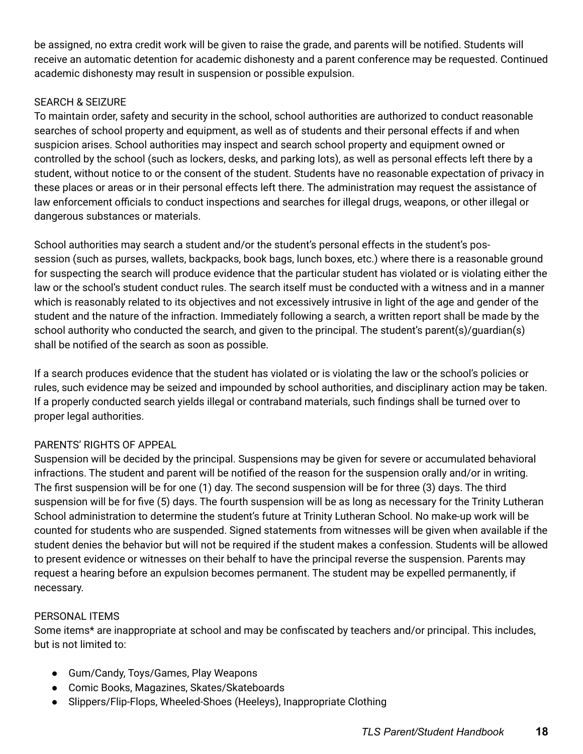be assigned, no extra credit work will be given to raise the grade, and parents will be notified. Students will receive an automatic detention for academic dishonesty and a parent conference may be requested. Continued academic dishonesty may result in suspension or possible expulsion.

# SEARCH & SEIZURE

To maintain order, safety and security in the school, school authorities are authorized to conduct reasonable searches of school property and equipment, as well as of students and their personal effects if and when suspicion arises. School authorities may inspect and search school property and equipment owned or controlled by the school (such as lockers, desks, and parking lots), as well as personal effects left there by a student, without notice to or the consent of the student. Students have no reasonable expectation of privacy in these places or areas or in their personal effects left there. The administration may request the assistance of law enforcement officials to conduct inspections and searches for illegal drugs, weapons, or other illegal or dangerous substances or materials.

School authorities may search a student and/or the student's personal effects in the student's possession (such as purses, wallets, backpacks, book bags, lunch boxes, etc.) where there is a reasonable ground for suspecting the search will produce evidence that the particular student has violated or is violating either the law or the school's student conduct rules. The search itself must be conducted with a witness and in a manner which is reasonably related to its objectives and not excessively intrusive in light of the age and gender of the student and the nature of the infraction. Immediately following a search, a written report shall be made by the school authority who conducted the search, and given to the principal. The student's parent(s)/guardian(s) shall be notified of the search as soon as possible.

If a search produces evidence that the student has violated or is violating the law or the school's policies or rules, such evidence may be seized and impounded by school authorities, and disciplinary action may be taken. If a properly conducted search yields illegal or contraband materials, such findings shall be turned over to proper legal authorities.

# PARENTS' RIGHTS OF APPEAL

Suspension will be decided by the principal. Suspensions may be given for severe or accumulated behavioral infractions. The student and parent will be notified of the reason for the suspension orally and/or in writing. The first suspension will be for one (1) day. The second suspension will be for three (3) days. The third suspension will be for five (5) days. The fourth suspension will be as long as necessary for the Trinity Lutheran School administration to determine the student's future at Trinity Lutheran School. No make-up work will be counted for students who are suspended. Signed statements from witnesses will be given when available if the student denies the behavior but will not be required if the student makes a confession. Students will be allowed to present evidence or witnesses on their behalf to have the principal reverse the suspension. Parents may request a hearing before an expulsion becomes permanent. The student may be expelled permanently, if necessary.

# PERSONAL ITEMS

Some items\* are inappropriate at school and may be confiscated by teachers and/or principal. This includes, but is not limited to:

- Gum/Candy, Toys/Games, Play Weapons
- Comic Books, Magazines, Skates/Skateboards
- Slippers/Flip-Flops, Wheeled-Shoes (Heeleys), Inappropriate Clothing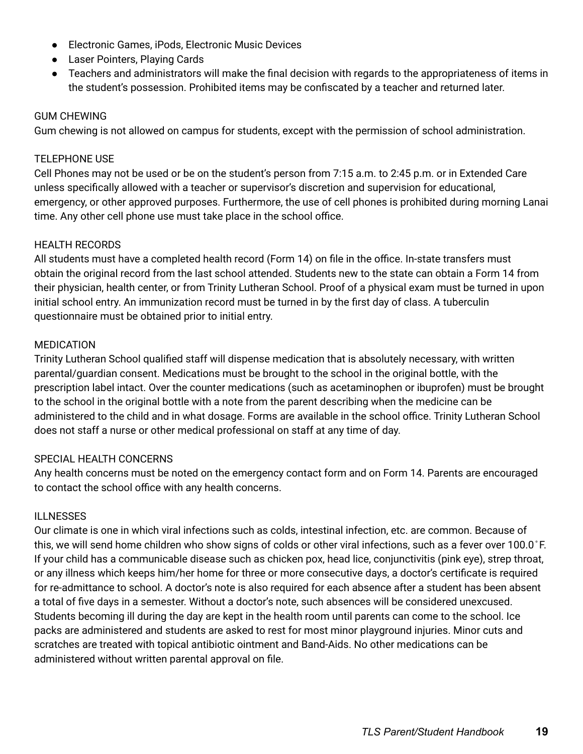- Electronic Games, iPods, Electronic Music Devices
- Laser Pointers, Playing Cards
- Teachers and administrators will make the final decision with regards to the appropriateness of items in the student's possession. Prohibited items may be confiscated by a teacher and returned later.

#### GUM CHEWING

Gum chewing is not allowed on campus for students, except with the permission of school administration.

#### TELEPHONE USE

Cell Phones may not be used or be on the student's person from 7:15 a.m. to 2:45 p.m. or in Extended Care unless specifically allowed with a teacher or supervisor's discretion and supervision for educational, emergency, or other approved purposes. Furthermore, the use of cell phones is prohibited during morning Lanai time. Any other cell phone use must take place in the school office.

#### HEALTH RECORDS

All students must have a completed health record (Form 14) on file in the office. In-state transfers must obtain the original record from the last school attended. Students new to the state can obtain a Form 14 from their physician, health center, or from Trinity Lutheran School. Proof of a physical exam must be turned in upon initial school entry. An immunization record must be turned in by the first day of class. A tuberculin questionnaire must be obtained prior to initial entry.

#### MEDICATION

Trinity Lutheran School qualified staff will dispense medication that is absolutely necessary, with written parental/guardian consent. Medications must be brought to the school in the original bottle, with the prescription label intact. Over the counter medications (such as acetaminophen or ibuprofen) must be brought to the school in the original bottle with a note from the parent describing when the medicine can be administered to the child and in what dosage. Forms are available in the school office. Trinity Lutheran School does not staff a nurse or other medical professional on staff at any time of day.

#### SPECIAL HEALTH CONCERNS

Any health concerns must be noted on the emergency contact form and on Form 14. Parents are encouraged to contact the school office with any health concerns.

#### ILLNESSES

Our climate is one in which viral infections such as colds, intestinal infection, etc. are common. Because of this, we will send home children who show signs of colds or other viral infections, such as a fever over 100.0°F. If your child has a communicable disease such as chicken pox, head lice, conjunctivitis (pink eye), strep throat, or any illness which keeps him/her home for three or more consecutive days, a doctor's certificate is required for re-admittance to school. A doctor's note is also required for each absence after a student has been absent a total of five days in a semester. Without a doctor's note, such absences will be considered unexcused. Students becoming ill during the day are kept in the health room until parents can come to the school. Ice packs are administered and students are asked to rest for most minor playground injuries. Minor cuts and scratches are treated with topical antibiotic ointment and Band-Aids. No other medications can be administered without written parental approval on file.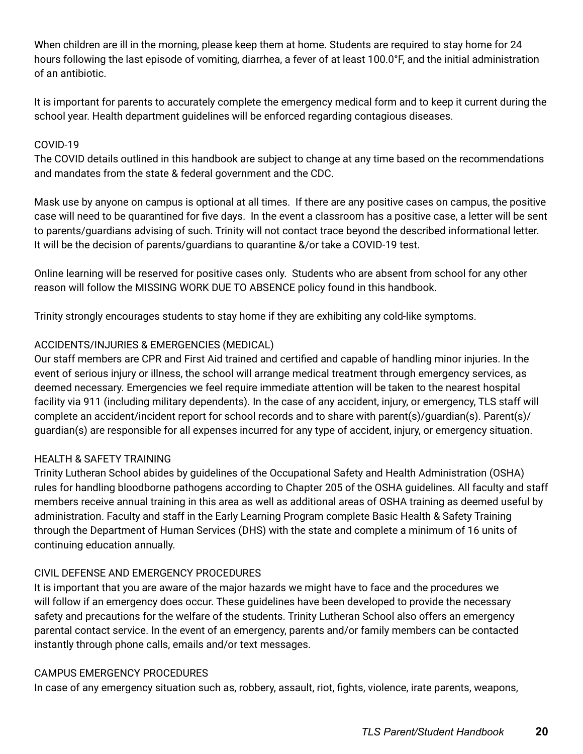When children are ill in the morning, please keep them at home. Students are required to stay home for 24 hours following the last episode of vomiting, diarrhea, a fever of at least 100.0°F, and the initial administration of an antibiotic.

It is important for parents to accurately complete the emergency medical form and to keep it current during the school year. Health department guidelines will be enforced regarding contagious diseases.

#### COVID-19

The COVID details outlined in this handbook are subject to change at any time based on the recommendations and mandates from the state & federal government and the CDC.

Mask use by anyone on campus is optional at all times. If there are any positive cases on campus, the positive case will need to be quarantined for five days. In the event a classroom has a positive case, a letter will be sent to parents/guardians advising of such. Trinity will not contact trace beyond the described informational letter. It will be the decision of parents/guardians to quarantine &/or take a COVID-19 test.

Online learning will be reserved for positive cases only. Students who are absent from school for any other reason will follow the MISSING WORK DUE TO ABSENCE policy found in this handbook.

Trinity strongly encourages students to stay home if they are exhibiting any cold-like symptoms.

# ACCIDENTS/INJURIES & EMERGENCIES (MEDICAL)

Our staff members are CPR and First Aid trained and certified and capable of handling minor injuries. In the event of serious injury or illness, the school will arrange medical treatment through emergency services, as deemed necessary. Emergencies we feel require immediate attention will be taken to the nearest hospital facility via 911 (including military dependents). In the case of any accident, injury, or emergency, TLS staff will complete an accident/incident report for school records and to share with parent(s)/guardian(s). Parent(s)/ guardian(s) are responsible for all expenses incurred for any type of accident, injury, or emergency situation.

# HEALTH & SAFETY TRAINING

Trinity Lutheran School abides by guidelines of the Occupational Safety and Health Administration (OSHA) rules for handling bloodborne pathogens according to Chapter 205 of the OSHA guidelines. All faculty and staff members receive annual training in this area as well as additional areas of OSHA training as deemed useful by administration. Faculty and staff in the Early Learning Program complete Basic Health & Safety Training through the Department of Human Services (DHS) with the state and complete a minimum of 16 units of continuing education annually.

# CIVIL DEFENSE AND EMERGENCY PROCEDURES

It is important that you are aware of the major hazards we might have to face and the procedures we will follow if an emergency does occur. These guidelines have been developed to provide the necessary safety and precautions for the welfare of the students. Trinity Lutheran School also offers an emergency parental contact service. In the event of an emergency, parents and/or family members can be contacted instantly through phone calls, emails and/or text messages.

#### CAMPUS EMERGENCY PROCEDURES

In case of any emergency situation such as, robbery, assault, riot, fights, violence, irate parents, weapons,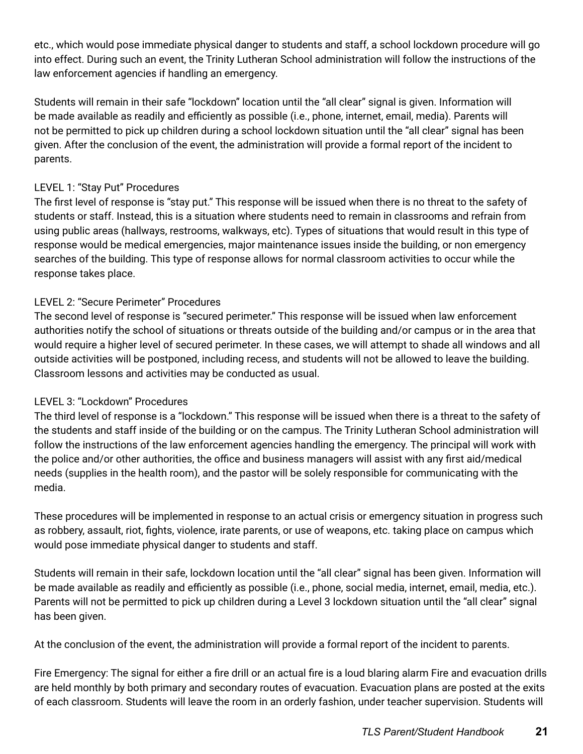etc., which would pose immediate physical danger to students and staff, a school lockdown procedure will go into effect. During such an event, the Trinity Lutheran School administration will follow the instructions of the law enforcement agencies if handling an emergency.

Students will remain in their safe "lockdown" location until the "all clear" signal is given. Information will be made available as readily and efficiently as possible (i.e., phone, internet, email, media). Parents will not be permitted to pick up children during a school lockdown situation until the "all clear" signal has been given. After the conclusion of the event, the administration will provide a formal report of the incident to parents.

# LEVEL 1: "Stay Put" Procedures

The first level of response is "stay put." This response will be issued when there is no threat to the safety of students or staff. Instead, this is a situation where students need to remain in classrooms and refrain from using public areas (hallways, restrooms, walkways, etc). Types of situations that would result in this type of response would be medical emergencies, major maintenance issues inside the building, or non emergency searches of the building. This type of response allows for normal classroom activities to occur while the response takes place.

# LEVEL 2: "Secure Perimeter" Procedures

The second level of response is "secured perimeter." This response will be issued when law enforcement authorities notify the school of situations or threats outside of the building and/or campus or in the area that would require a higher level of secured perimeter. In these cases, we will attempt to shade all windows and all outside activities will be postponed, including recess, and students will not be allowed to leave the building. Classroom lessons and activities may be conducted as usual.

# LEVEL 3: "Lockdown" Procedures

The third level of response is a "lockdown." This response will be issued when there is a threat to the safety of the students and staff inside of the building or on the campus. The Trinity Lutheran School administration will follow the instructions of the law enforcement agencies handling the emergency. The principal will work with the police and/or other authorities, the office and business managers will assist with any first aid/medical needs (supplies in the health room), and the pastor will be solely responsible for communicating with the media.

These procedures will be implemented in response to an actual crisis or emergency situation in progress such as robbery, assault, riot, fights, violence, irate parents, or use of weapons, etc. taking place on campus which would pose immediate physical danger to students and staff.

Students will remain in their safe, lockdown location until the "all clear" signal has been given. Information will be made available as readily and efficiently as possible (i.e., phone, social media, internet, email, media, etc.). Parents will not be permitted to pick up children during a Level 3 lockdown situation until the "all clear" signal has been given.

At the conclusion of the event, the administration will provide a formal report of the incident to parents.

Fire Emergency: The signal for either a fire drill or an actual fire is a loud blaring alarm Fire and evacuation drills are held monthly by both primary and secondary routes of evacuation. Evacuation plans are posted at the exits of each classroom. Students will leave the room in an orderly fashion, under teacher supervision. Students will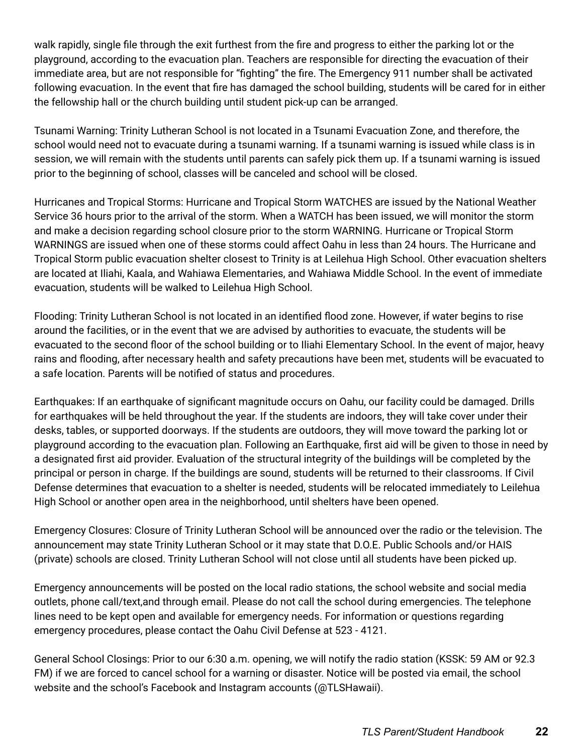walk rapidly, single file through the exit furthest from the fire and progress to either the parking lot or the playground, according to the evacuation plan. Teachers are responsible for directing the evacuation of their immediate area, but are not responsible for "fighting" the fire. The Emergency 911 number shall be activated following evacuation. In the event that fire has damaged the school building, students will be cared for in either the fellowship hall or the church building until student pick-up can be arranged.

Tsunami Warning: Trinity Lutheran School is not located in a Tsunami Evacuation Zone, and therefore, the school would need not to evacuate during a tsunami warning. If a tsunami warning is issued while class is in session, we will remain with the students until parents can safely pick them up. If a tsunami warning is issued prior to the beginning of school, classes will be canceled and school will be closed.

Hurricanes and Tropical Storms: Hurricane and Tropical Storm WATCHES are issued by the National Weather Service 36 hours prior to the arrival of the storm. When a WATCH has been issued, we will monitor the storm and make a decision regarding school closure prior to the storm WARNING. Hurricane or Tropical Storm WARNINGS are issued when one of these storms could affect Oahu in less than 24 hours. The Hurricane and Tropical Storm public evacuation shelter closest to Trinity is at Leilehua High School. Other evacuation shelters are located at Iliahi, Kaala, and Wahiawa Elementaries, and Wahiawa Middle School. In the event of immediate evacuation, students will be walked to Leilehua High School.

Flooding: Trinity Lutheran School is not located in an identified flood zone. However, if water begins to rise around the facilities, or in the event that we are advised by authorities to evacuate, the students will be evacuated to the second floor of the school building or to Iliahi Elementary School. In the event of major, heavy rains and flooding, after necessary health and safety precautions have been met, students will be evacuated to a safe location. Parents will be notified of status and procedures.

Earthquakes: If an earthquake of significant magnitude occurs on Oahu, our facility could be damaged. Drills for earthquakes will be held throughout the year. If the students are indoors, they will take cover under their desks, tables, or supported doorways. If the students are outdoors, they will move toward the parking lot or playground according to the evacuation plan. Following an Earthquake, first aid will be given to those in need by a designated first aid provider. Evaluation of the structural integrity of the buildings will be completed by the principal or person in charge. If the buildings are sound, students will be returned to their classrooms. If Civil Defense determines that evacuation to a shelter is needed, students will be relocated immediately to Leilehua High School or another open area in the neighborhood, until shelters have been opened.

Emergency Closures: Closure of Trinity Lutheran School will be announced over the radio or the television. The announcement may state Trinity Lutheran School or it may state that D.O.E. Public Schools and/or HAIS (private) schools are closed. Trinity Lutheran School will not close until all students have been picked up.

Emergency announcements will be posted on the local radio stations, the school website and social media outlets, phone call/text,and through email. Please do not call the school during emergencies. The telephone lines need to be kept open and available for emergency needs. For information or questions regarding emergency procedures, please contact the Oahu Civil Defense at 523 - 4121.

General School Closings: Prior to our 6:30 a.m. opening, we will notify the radio station (KSSK: 59 AM or 92.3 FM) if we are forced to cancel school for a warning or disaster. Notice will be posted via email, the school website and the school's Facebook and Instagram accounts (@TLSHawaii).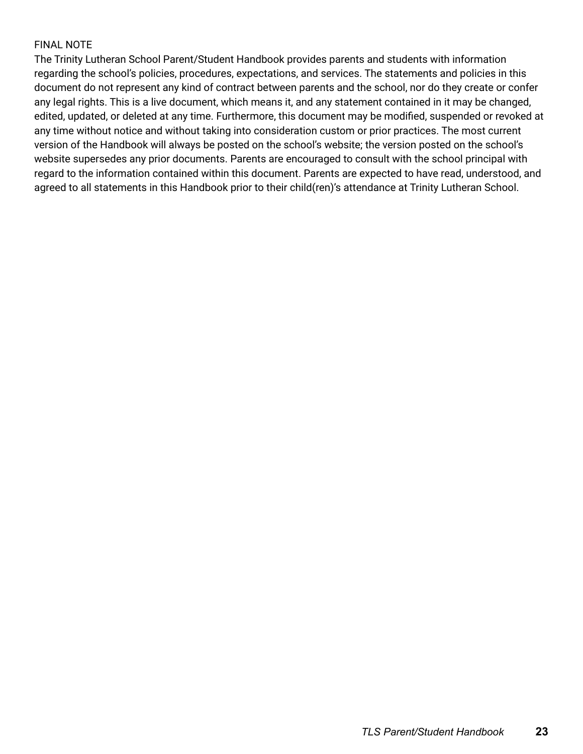# FINAL NOTE

The Trinity Lutheran School Parent/Student Handbook provides parents and students with information regarding the school's policies, procedures, expectations, and services. The statements and policies in this document do not represent any kind of contract between parents and the school, nor do they create or confer any legal rights. This is a live document, which means it, and any statement contained in it may be changed, edited, updated, or deleted at any time. Furthermore, this document may be modified, suspended or revoked at any time without notice and without taking into consideration custom or prior practices. The most current version of the Handbook will always be posted on the school's website; the version posted on the school's website supersedes any prior documents. Parents are encouraged to consult with the school principal with regard to the information contained within this document. Parents are expected to have read, understood, and agreed to all statements in this Handbook prior to their child(ren)'s attendance at Trinity Lutheran School.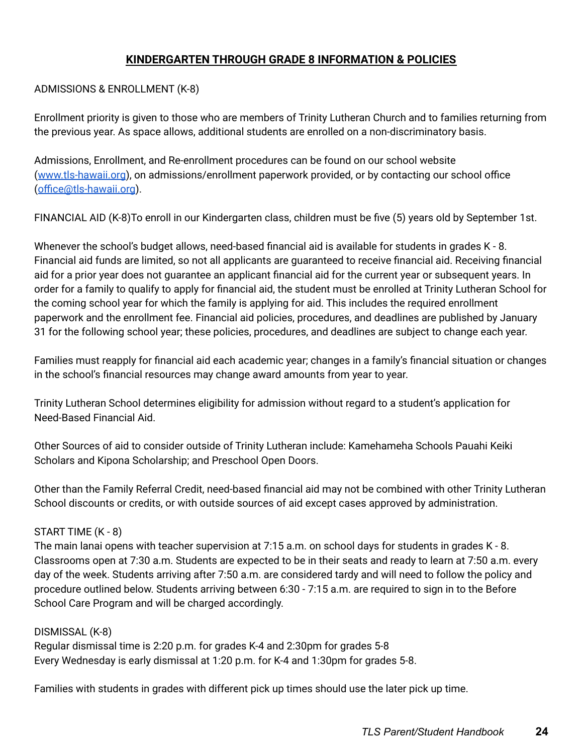# **KINDERGARTEN THROUGH GRADE 8 INFORMATION & POLICIES**

#### ADMISSIONS & ENROLLMENT (K-8)

Enrollment priority is given to those who are members of Trinity Lutheran Church and to families returning from the previous year. As space allows, additional students are enrolled on a non-discriminatory basis.

Admissions, Enrollment, and Re-enrollment procedures can be found on our school website ([www.tls-hawaii.org](http://www.tls-hawaii.org)), on admissions/enrollment paperwork provided, or by contacting our school office ([office@tls-hawaii.org](mailto:office@tls-hawaii.org)).

FINANCIAL AID (K-8)To enroll in our Kindergarten class, children must be five (5) years old by September 1st.

Whenever the school's budget allows, need-based financial aid is available for students in grades K - 8. Financial aid funds are limited, so not all applicants are guaranteed to receive financial aid. Receiving financial aid for a prior year does not guarantee an applicant financial aid for the current year or subsequent years. In order for a family to qualify to apply for financial aid, the student must be enrolled at Trinity Lutheran School for the coming school year for which the family is applying for aid. This includes the required enrollment paperwork and the enrollment fee. Financial aid policies, procedures, and deadlines are published by January 31 for the following school year; these policies, procedures, and deadlines are subject to change each year.

Families must reapply for financial aid each academic year; changes in a family's financial situation or changes in the school's financial resources may change award amounts from year to year.

Trinity Lutheran School determines eligibility for admission without regard to a student's application for Need-Based Financial Aid.

Other Sources of aid to consider outside of Trinity Lutheran include: Kamehameha Schools Pauahi Keiki Scholars and Kipona Scholarship; and Preschool Open Doors.

Other than the Family Referral Credit, need-based financial aid may not be combined with other Trinity Lutheran School discounts or credits, or with outside sources of aid except cases approved by administration.

# START TIME (K - 8)

The main lanai opens with teacher supervision at 7:15 a.m. on school days for students in grades K - 8. Classrooms open at 7:30 a.m. Students are expected to be in their seats and ready to learn at 7:50 a.m. every day of the week. Students arriving after 7:50 a.m. are considered tardy and will need to follow the policy and procedure outlined below. Students arriving between 6:30 - 7:15 a.m. are required to sign in to the Before School Care Program and will be charged accordingly.

# DISMISSAL (K-8)

Regular dismissal time is 2:20 p.m. for grades K-4 and 2:30pm for grades 5-8 Every Wednesday is early dismissal at 1:20 p.m. for K-4 and 1:30pm for grades 5-8.

Families with students in grades with different pick up times should use the later pick up time.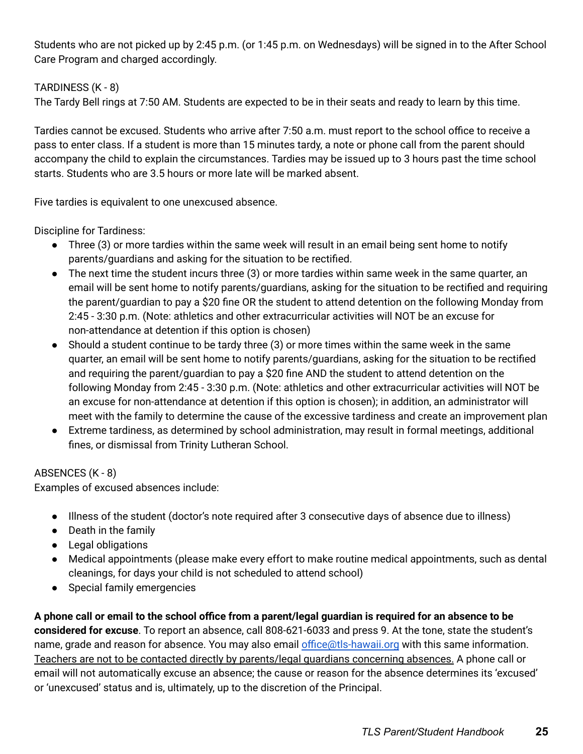Students who are not picked up by 2:45 p.m. (or 1:45 p.m. on Wednesdays) will be signed in to the After School Care Program and charged accordingly.

# TARDINESS (K - 8)

The Tardy Bell rings at 7:50 AM. Students are expected to be in their seats and ready to learn by this time.

Tardies cannot be excused. Students who arrive after 7:50 a.m. must report to the school office to receive a pass to enter class. If a student is more than 15 minutes tardy, a note or phone call from the parent should accompany the child to explain the circumstances. Tardies may be issued up to 3 hours past the time school starts. Students who are 3.5 hours or more late will be marked absent.

Five tardies is equivalent to one unexcused absence.

Discipline for Tardiness:

- Three (3) or more tardies within the same week will result in an email being sent home to notify parents/guardians and asking for the situation to be rectified.
- The next time the student incurs three (3) or more tardies within same week in the same quarter, an email will be sent home to notify parents/guardians, asking for the situation to be rectified and requiring the parent/guardian to pay a \$20 fine OR the student to attend detention on the following Monday from 2:45 - 3:30 p.m. (Note: athletics and other extracurricular activities will NOT be an excuse for non-attendance at detention if this option is chosen)
- Should a student continue to be tardy three (3) or more times within the same week in the same quarter, an email will be sent home to notify parents/guardians, asking for the situation to be rectified and requiring the parent/guardian to pay a \$20 fine AND the student to attend detention on the following Monday from 2:45 - 3:30 p.m. (Note: athletics and other extracurricular activities will NOT be an excuse for non-attendance at detention if this option is chosen); in addition, an administrator will meet with the family to determine the cause of the excessive tardiness and create an improvement plan
- Extreme tardiness, as determined by school administration, may result in formal meetings, additional fines, or dismissal from Trinity Lutheran School.

# ABSENCES (K - 8)

Examples of excused absences include:

- Illness of the student (doctor's note required after 3 consecutive days of absence due to illness)
- Death in the family
- Legal obligations
- Medical appointments (please make every effort to make routine medical appointments, such as dental cleanings, for days your child is not scheduled to attend school)
- Special family emergencies

A phone call or email to the school office from a parent/legal guardian is required for an absence to be **considered for excuse**. To report an absence, call 808-621-6033 and press 9. At the tone, state the student's name, grade and reason for absence. You may also email [office@tls-hawaii.org](mailto:office@tls-hawaii.org) with this same information. Teachers are not to be contacted directly by parents/legal guardians concerning absences. A phone call or email will not automatically excuse an absence; the cause or reason for the absence determines its 'excused' or 'unexcused' status and is, ultimately, up to the discretion of the Principal.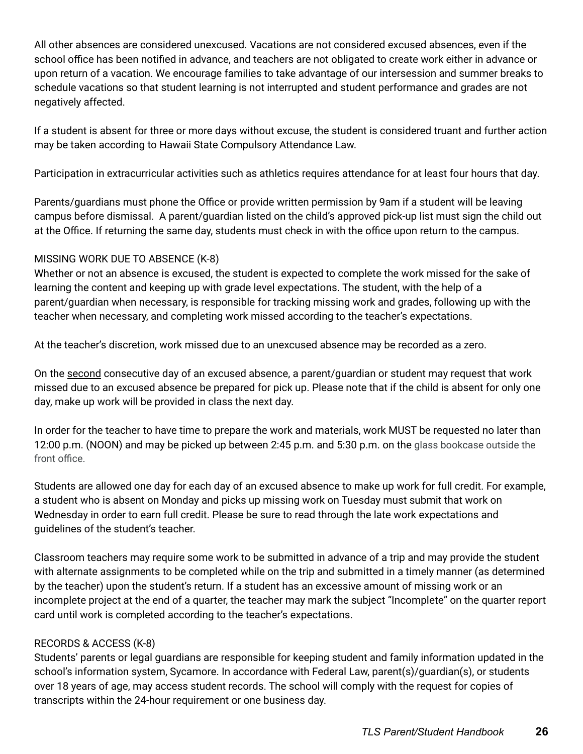All other absences are considered unexcused. Vacations are not considered excused absences, even if the school office has been notified in advance, and teachers are not obligated to create work either in advance or upon return of a vacation. We encourage families to take advantage of our intersession and summer breaks to schedule vacations so that student learning is not interrupted and student performance and grades are not negatively affected.

If a student is absent for three or more days without excuse, the student is considered truant and further action may be taken according to Hawaii State Compulsory Attendance Law.

Participation in extracurricular activities such as athletics requires attendance for at least four hours that day.

Parents/guardians must phone the Office or provide written permission by 9am if a student will be leaving campus before dismissal. A parent/guardian listed on the child's approved pick-up list must sign the child out at the Office. If returning the same day, students must check in with the office upon return to the campus.

# MISSING WORK DUE TO ABSENCE (K-8)

Whether or not an absence is excused, the student is expected to complete the work missed for the sake of learning the content and keeping up with grade level expectations. The student, with the help of a parent/guardian when necessary, is responsible for tracking missing work and grades, following up with the teacher when necessary, and completing work missed according to the teacher's expectations.

At the teacher's discretion, work missed due to an unexcused absence may be recorded as a zero.

On the second consecutive day of an excused absence, a parent/guardian or student may request that work missed due to an excused absence be prepared for pick up. Please note that if the child is absent for only one day, make up work will be provided in class the next day.

In order for the teacher to have time to prepare the work and materials, work MUST be requested no later than 12:00 p.m. (NOON) and may be picked up between 2:45 p.m. and 5:30 p.m. on the glass bookcase outside the front office.

Students are allowed one day for each day of an excused absence to make up work for full credit. For example, a student who is absent on Monday and picks up missing work on Tuesday must submit that work on Wednesday in order to earn full credit. Please be sure to read through the late work expectations and guidelines of the student's teacher.

Classroom teachers may require some work to be submitted in advance of a trip and may provide the student with alternate assignments to be completed while on the trip and submitted in a timely manner (as determined by the teacher) upon the student's return. If a student has an excessive amount of missing work or an incomplete project at the end of a quarter, the teacher may mark the subject "Incomplete" on the quarter report card until work is completed according to the teacher's expectations.

# RECORDS & ACCESS (K-8)

Students' parents or legal guardians are responsible for keeping student and family information updated in the school's information system, Sycamore. In accordance with Federal Law, parent(s)/guardian(s), or students over 18 years of age, may access student records. The school will comply with the request for copies of transcripts within the 24-hour requirement or one business day.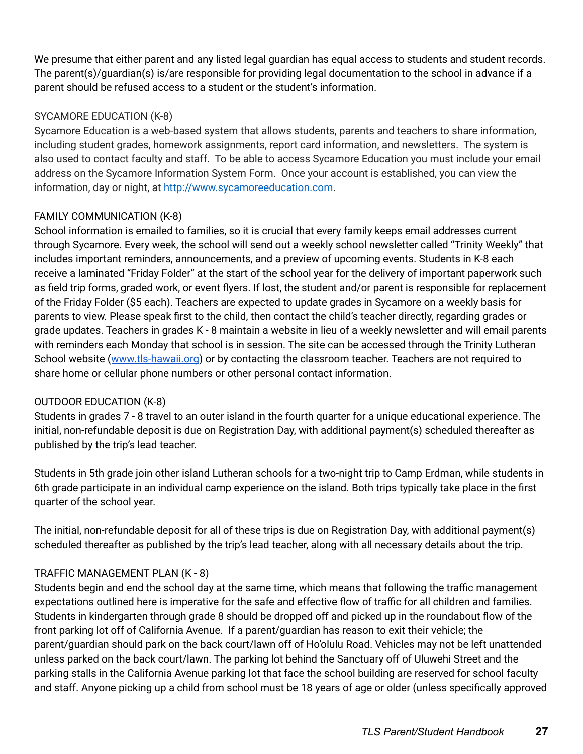We presume that either parent and any listed legal guardian has equal access to students and student records. The parent(s)/guardian(s) is/are responsible for providing legal documentation to the school in advance if a parent should be refused access to a student or the student's information.

# SYCAMORE EDUCATION (K-8)

Sycamore Education is a web-based system that allows students, parents and teachers to share information, including student grades, homework assignments, report card information, and newsletters. The system is also used to contact faculty and staff. To be able to access Sycamore Education you must include your email address on the Sycamore Information System Form. Once your account is established, you can view the information, day or night, at [http://www.sycamoreeducation.com.](http://www.sycamoreeducation.com/)

# FAMILY COMMUNICATION (K-8)

School information is emailed to families, so it is crucial that every family keeps email addresses current through Sycamore. Every week, the school will send out a weekly school newsletter called "Trinity Weekly" that includes important reminders, announcements, and a preview of upcoming events. Students in K-8 each receive a laminated "Friday Folder" at the start of the school year for the delivery of important paperwork such as field trip forms, graded work, or event flyers. If lost, the student and/or parent is responsible for replacement of the Friday Folder (\$5 each). Teachers are expected to update grades in Sycamore on a weekly basis for parents to view. Please speak first to the child, then contact the child's teacher directly, regarding grades or grade updates. Teachers in grades K - 8 maintain a website in lieu of a weekly newsletter and will email parents with reminders each Monday that school is in session. The site can be accessed through the Trinity Lutheran School website ([www.tls-hawaii.org](http://www.tls-hawaii.org)) or by contacting the classroom teacher. Teachers are not required to share home or cellular phone numbers or other personal contact information.

# OUTDOOR EDUCATION (K-8)

Students in grades 7 - 8 travel to an outer island in the fourth quarter for a unique educational experience. The initial, non-refundable deposit is due on Registration Day, with additional payment(s) scheduled thereafter as published by the trip's lead teacher.

Students in 5th grade join other island Lutheran schools for a two-night trip to Camp Erdman, while students in 6th grade participate in an individual camp experience on the island. Both trips typically take place in the first quarter of the school year.

The initial, non-refundable deposit for all of these trips is due on Registration Day, with additional payment(s) scheduled thereafter as published by the trip's lead teacher, along with all necessary details about the trip.

# TRAFFIC MANAGEMENT PLAN (K - 8)

Students begin and end the school day at the same time, which means that following the traffic management expectations outlined here is imperative for the safe and effective flow of traffic for all children and families. Students in kindergarten through grade 8 should be dropped off and picked up in the roundabout flow of the front parking lot off of California Avenue. If a parent/guardian has reason to exit their vehicle; the parent/guardian should park on the back court/lawn off of Ho'olulu Road. Vehicles may not be left unattended unless parked on the back court/lawn. The parking lot behind the Sanctuary off of Uluwehi Street and the parking stalls in the California Avenue parking lot that face the school building are reserved for school faculty and staff. Anyone picking up a child from school must be 18 years of age or older (unless specifically approved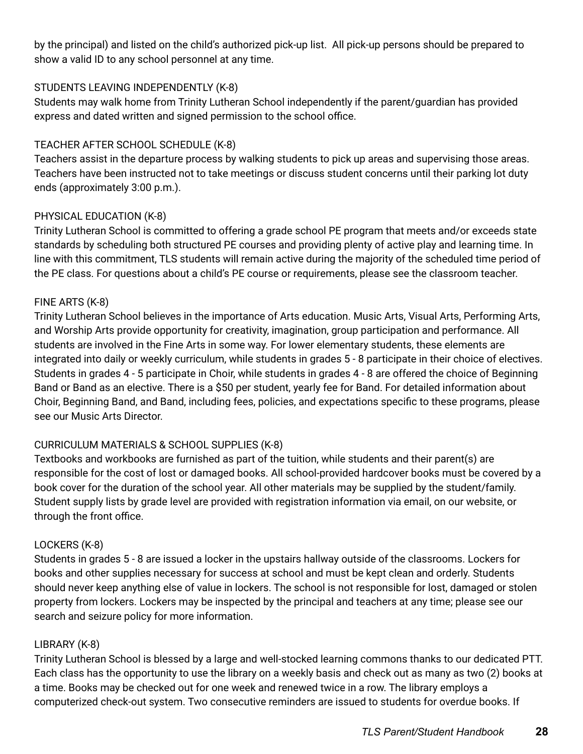by the principal) and listed on the child's authorized pick-up list. All pick-up persons should be prepared to show a valid ID to any school personnel at any time.

# STUDENTS LEAVING INDEPENDENTLY (K-8)

Students may walk home from Trinity Lutheran School independently if the parent/guardian has provided express and dated written and signed permission to the school office.

# TEACHER AFTER SCHOOL SCHEDULE (K-8)

Teachers assist in the departure process by walking students to pick up areas and supervising those areas. Teachers have been instructed not to take meetings or discuss student concerns until their parking lot duty ends (approximately 3:00 p.m.).

# PHYSICAL EDUCATION (K-8)

Trinity Lutheran School is committed to offering a grade school PE program that meets and/or exceeds state standards by scheduling both structured PE courses and providing plenty of active play and learning time. In line with this commitment, TLS students will remain active during the majority of the scheduled time period of the PE class. For questions about a child's PE course or requirements, please see the classroom teacher.

# FINE ARTS (K-8)

Trinity Lutheran School believes in the importance of Arts education. Music Arts, Visual Arts, Performing Arts, and Worship Arts provide opportunity for creativity, imagination, group participation and performance. All students are involved in the Fine Arts in some way. For lower elementary students, these elements are integrated into daily or weekly curriculum, while students in grades 5 - 8 participate in their choice of electives. Students in grades 4 - 5 participate in Choir, while students in grades 4 - 8 are offered the choice of Beginning Band or Band as an elective. There is a \$50 per student, yearly fee for Band. For detailed information about Choir, Beginning Band, and Band, including fees, policies, and expectations specific to these programs, please see our Music Arts Director.

# CURRICULUM MATERIALS & SCHOOL SUPPLIES (K-8)

Textbooks and workbooks are furnished as part of the tuition, while students and their parent(s) are responsible for the cost of lost or damaged books. All school-provided hardcover books must be covered by a book cover for the duration of the school year. All other materials may be supplied by the student/family. Student supply lists by grade level are provided with registration information via email, on our website, or through the front office.

# LOCKERS (K-8)

Students in grades 5 - 8 are issued a locker in the upstairs hallway outside of the classrooms. Lockers for books and other supplies necessary for success at school and must be kept clean and orderly. Students should never keep anything else of value in lockers. The school is not responsible for lost, damaged or stolen property from lockers. Lockers may be inspected by the principal and teachers at any time; please see our search and seizure policy for more information.

# LIBRARY (K-8)

Trinity Lutheran School is blessed by a large and well-stocked learning commons thanks to our dedicated PTT. Each class has the opportunity to use the library on a weekly basis and check out as many as two (2) books at a time. Books may be checked out for one week and renewed twice in a row. The library employs a computerized check-out system. Two consecutive reminders are issued to students for overdue books. If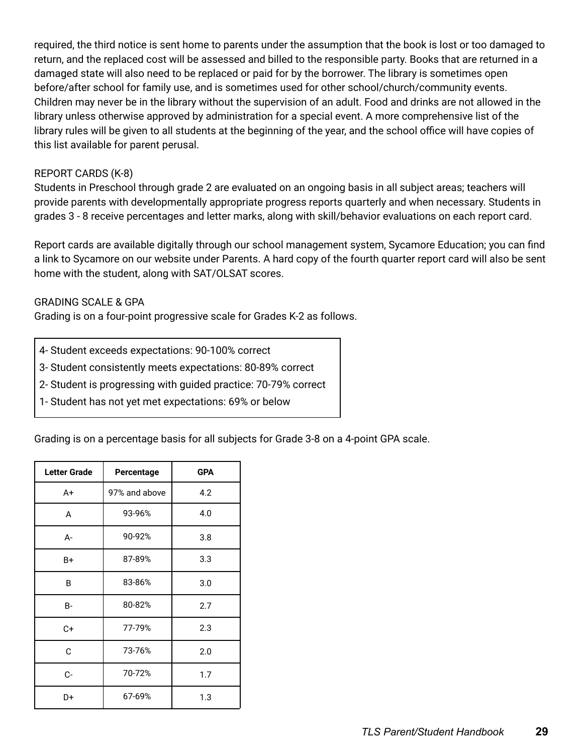required, the third notice is sent home to parents under the assumption that the book is lost or too damaged to return, and the replaced cost will be assessed and billed to the responsible party. Books that are returned in a damaged state will also need to be replaced or paid for by the borrower. The library is sometimes open before/after school for family use, and is sometimes used for other school/church/community events. Children may never be in the library without the supervision of an adult. Food and drinks are not allowed in the library unless otherwise approved by administration for a special event. A more comprehensive list of the library rules will be given to all students at the beginning of the year, and the school office will have copies of this list available for parent perusal.

#### REPORT CARDS (K-8)

Students in Preschool through grade 2 are evaluated on an ongoing basis in all subject areas; teachers will provide parents with developmentally appropriate progress reports quarterly and when necessary. Students in grades 3 - 8 receive percentages and letter marks, along with skill/behavior evaluations on each report card.

Report cards are available digitally through our school management system, Sycamore Education; you can find a link to Sycamore on our website under Parents. A hard copy of the fourth quarter report card will also be sent home with the student, along with SAT/OLSAT scores.

#### GRADING SCALE & GPA

Grading is on a four-point progressive scale for Grades K-2 as follows.

- 4- Student exceeds expectations: 90-100% correct
- 3- Student consistently meets expectations: 80-89% correct
- 2- Student is progressing with guided practice: 70-79% correct
- 1- Student has not yet met expectations: 69% or below

Grading is on a percentage basis for all subjects for Grade 3-8 on a 4-point GPA scale.

| <b>Letter Grade</b> | Percentage    | <b>GPA</b> |
|---------------------|---------------|------------|
| A+                  | 97% and above | 4.2        |
| A                   | 93-96%        | 4.0        |
| A-                  | 90-92%        | 3.8        |
| B+                  | 87-89%        | 3.3        |
| B                   | 83-86%        | 3.0        |
| B-                  | 80-82%        | 2.7        |
| C+                  | 77-79%        | 2.3        |
| C                   | 73-76%        | 2.0        |
| C-                  | 70-72%        | 1.7        |
| D+                  | 67-69%        | 1.3        |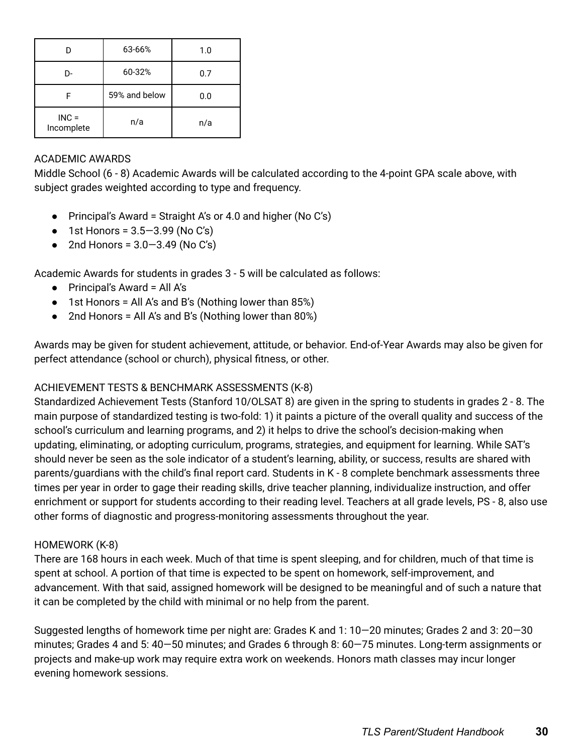| D                     | 63-66%        | 1.0 |
|-----------------------|---------------|-----|
| D-                    | 60-32%        | 0.7 |
| F                     | 59% and below | 0.0 |
| $INC =$<br>Incomplete | n/a           | n/a |

# ACADEMIC AWARDS

Middle School (6 - 8) Academic Awards will be calculated according to the 4-point GPA scale above, with subject grades weighted according to type and frequency.

- Principal's Award = Straight A's or 4.0 and higher (No C's)
- 1st Honors =  $3.5 3.99$  (No C's)
- 2nd Honors =  $3.0 3.49$  (No C's)

Academic Awards for students in grades 3 - 5 will be calculated as follows:

- Principal's Award = All A's
- 1st Honors = All A's and B's (Nothing lower than 85%)
- $\bullet$  2nd Honors = All A's and B's (Nothing lower than 80%)

Awards may be given for student achievement, attitude, or behavior. End-of-Year Awards may also be given for perfect attendance (school or church), physical fitness, or other.

# ACHIEVEMENT TESTS & BENCHMARK ASSESSMENTS (K-8)

Standardized Achievement Tests (Stanford 10/OLSAT 8) are given in the spring to students in grades 2 - 8. The main purpose of standardized testing is two-fold: 1) it paints a picture of the overall quality and success of the school's curriculum and learning programs, and 2) it helps to drive the school's decision-making when updating, eliminating, or adopting curriculum, programs, strategies, and equipment for learning. While SAT's should never be seen as the sole indicator of a student's learning, ability, or success, results are shared with parents/guardians with the child's final report card. Students in K - 8 complete benchmark assessments three times per year in order to gage their reading skills, drive teacher planning, individualize instruction, and offer enrichment or support for students according to their reading level. Teachers at all grade levels, PS - 8, also use other forms of diagnostic and progress-monitoring assessments throughout the year.

# HOMEWORK (K-8)

There are 168 hours in each week. Much of that time is spent sleeping, and for children, much of that time is spent at school. A portion of that time is expected to be spent on homework, self-improvement, and advancement. With that said, assigned homework will be designed to be meaningful and of such a nature that it can be completed by the child with minimal or no help from the parent.

Suggested lengths of homework time per night are: Grades K and 1: 10—20 minutes; Grades 2 and 3: 20—30 minutes; Grades 4 and 5: 40—50 minutes; and Grades 6 through 8: 60—75 minutes. Long-term assignments or projects and make-up work may require extra work on weekends. Honors math classes may incur longer evening homework sessions.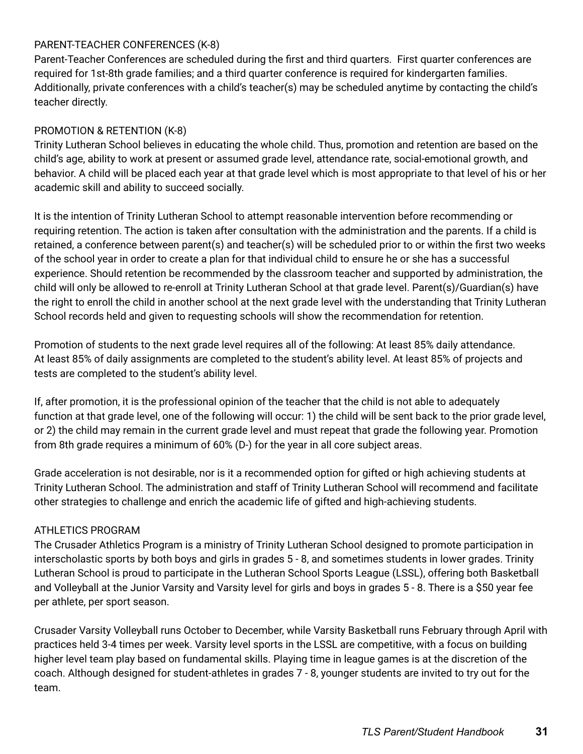# PARENT-TEACHER CONFERENCES (K-8)

Parent-Teacher Conferences are scheduled during the first and third quarters. First quarter conferences are required for 1st-8th grade families; and a third quarter conference is required for kindergarten families. Additionally, private conferences with a child's teacher(s) may be scheduled anytime by contacting the child's teacher directly.

# PROMOTION & RETENTION (K-8)

Trinity Lutheran School believes in educating the whole child. Thus, promotion and retention are based on the child's age, ability to work at present or assumed grade level, attendance rate, social-emotional growth, and behavior. A child will be placed each year at that grade level which is most appropriate to that level of his or her academic skill and ability to succeed socially.

It is the intention of Trinity Lutheran School to attempt reasonable intervention before recommending or requiring retention. The action is taken after consultation with the administration and the parents. If a child is retained, a conference between parent(s) and teacher(s) will be scheduled prior to or within the first two weeks of the school year in order to create a plan for that individual child to ensure he or she has a successful experience. Should retention be recommended by the classroom teacher and supported by administration, the child will only be allowed to re-enroll at Trinity Lutheran School at that grade level. Parent(s)/Guardian(s) have the right to enroll the child in another school at the next grade level with the understanding that Trinity Lutheran School records held and given to requesting schools will show the recommendation for retention.

Promotion of students to the next grade level requires all of the following: At least 85% daily attendance. At least 85% of daily assignments are completed to the student's ability level. At least 85% of projects and tests are completed to the student's ability level.

If, after promotion, it is the professional opinion of the teacher that the child is not able to adequately function at that grade level, one of the following will occur: 1) the child will be sent back to the prior grade level, or 2) the child may remain in the current grade level and must repeat that grade the following year. Promotion from 8th grade requires a minimum of 60% (D-) for the year in all core subject areas.

Grade acceleration is not desirable, nor is it a recommended option for gifted or high achieving students at Trinity Lutheran School. The administration and staff of Trinity Lutheran School will recommend and facilitate other strategies to challenge and enrich the academic life of gifted and high-achieving students.

# ATHLETICS PROGRAM

The Crusader Athletics Program is a ministry of Trinity Lutheran School designed to promote participation in interscholastic sports by both boys and girls in grades 5 - 8, and sometimes students in lower grades. Trinity Lutheran School is proud to participate in the Lutheran School Sports League (LSSL), offering both Basketball and Volleyball at the Junior Varsity and Varsity level for girls and boys in grades 5 - 8. There is a \$50 year fee per athlete, per sport season.

Crusader Varsity Volleyball runs October to December, while Varsity Basketball runs February through April with practices held 3-4 times per week. Varsity level sports in the LSSL are competitive, with a focus on building higher level team play based on fundamental skills. Playing time in league games is at the discretion of the coach. Although designed for student-athletes in grades 7 - 8, younger students are invited to try out for the team.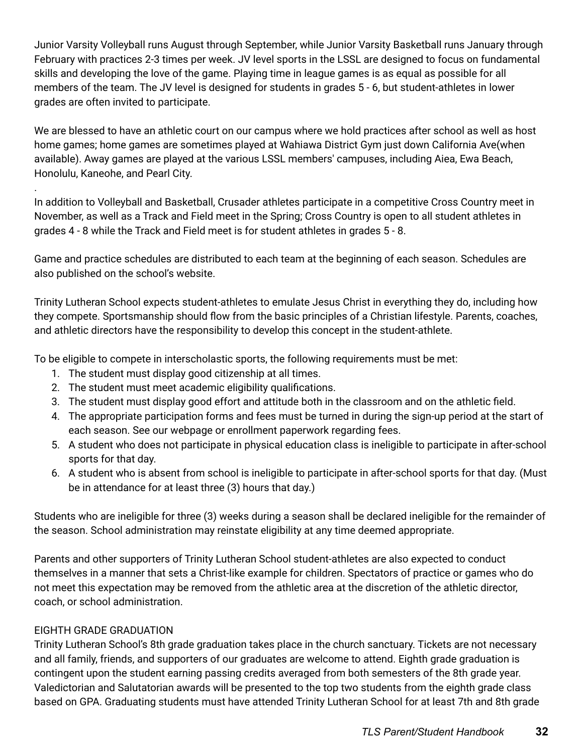Junior Varsity Volleyball runs August through September, while Junior Varsity Basketball runs January through February with practices 2-3 times per week. JV level sports in the LSSL are designed to focus on fundamental skills and developing the love of the game. Playing time in league games is as equal as possible for all members of the team. The JV level is designed for students in grades 5 - 6, but student-athletes in lower grades are often invited to participate.

We are blessed to have an athletic court on our campus where we hold practices after school as well as host home games; home games are sometimes played at Wahiawa District Gym just down California Ave(when available). Away games are played at the various LSSL members' campuses, including Aiea, Ewa Beach, Honolulu, Kaneohe, and Pearl City.

In addition to Volleyball and Basketball, Crusader athletes participate in a competitive Cross Country meet in November, as well as a Track and Field meet in the Spring; Cross Country is open to all student athletes in grades 4 - 8 while the Track and Field meet is for student athletes in grades 5 - 8.

Game and practice schedules are distributed to each team at the beginning of each season. Schedules are also published on the school's website.

Trinity Lutheran School expects student-athletes to emulate Jesus Christ in everything they do, including how they compete. Sportsmanship should flow from the basic principles of a Christian lifestyle. Parents, coaches, and athletic directors have the responsibility to develop this concept in the student-athlete.

To be eligible to compete in interscholastic sports, the following requirements must be met:

- 1. The student must display good citizenship at all times.
- 2. The student must meet academic eligibility qualifications.
- 3. The student must display good effort and attitude both in the classroom and on the athletic field.
- 4. The appropriate participation forms and fees must be turned in during the sign-up period at the start of each season. See our webpage or enrollment paperwork regarding fees.
- 5. A student who does not participate in physical education class is ineligible to participate in after-school sports for that day.
- 6. A student who is absent from school is ineligible to participate in after-school sports for that day. (Must be in attendance for at least three (3) hours that day.)

Students who are ineligible for three (3) weeks during a season shall be declared ineligible for the remainder of the season. School administration may reinstate eligibility at any time deemed appropriate.

Parents and other supporters of Trinity Lutheran School student-athletes are also expected to conduct themselves in a manner that sets a Christ-like example for children. Spectators of practice or games who do not meet this expectation may be removed from the athletic area at the discretion of the athletic director, coach, or school administration.

# EIGHTH GRADE GRADUATION

.

Trinity Lutheran School's 8th grade graduation takes place in the church sanctuary. Tickets are not necessary and all family, friends, and supporters of our graduates are welcome to attend. Eighth grade graduation is contingent upon the student earning passing credits averaged from both semesters of the 8th grade year. Valedictorian and Salutatorian awards will be presented to the top two students from the eighth grade class based on GPA. Graduating students must have attended Trinity Lutheran School for at least 7th and 8th grade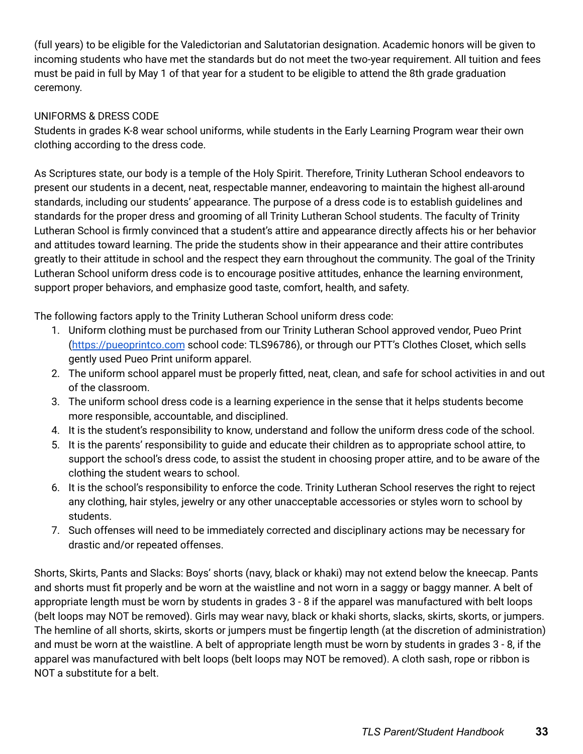(full years) to be eligible for the Valedictorian and Salutatorian designation. Academic honors will be given to incoming students who have met the standards but do not meet the two-year requirement. All tuition and fees must be paid in full by May 1 of that year for a student to be eligible to attend the 8th grade graduation ceremony.

# UNIFORMS & DRESS CODE

Students in grades K-8 wear school uniforms, while students in the Early Learning Program wear their own clothing according to the dress code.

As Scriptures state, our body is a temple of the Holy Spirit. Therefore, Trinity Lutheran School endeavors to present our students in a decent, neat, respectable manner, endeavoring to maintain the highest all-around standards, including our students' appearance. The purpose of a dress code is to establish guidelines and standards for the proper dress and grooming of all Trinity Lutheran School students. The faculty of Trinity Lutheran School is firmly convinced that a student's attire and appearance directly affects his or her behavior and attitudes toward learning. The pride the students show in their appearance and their attire contributes greatly to their attitude in school and the respect they earn throughout the community. The goal of the Trinity Lutheran School uniform dress code is to encourage positive attitudes, enhance the learning environment, support proper behaviors, and emphasize good taste, comfort, health, and safety.

The following factors apply to the Trinity Lutheran School uniform dress code:

- 1. Uniform clothing must be purchased from our Trinity Lutheran School approved vendor, Pueo Print ([https://pueoprintco.com](https://pueoprintco.com/) school code: TLS96786), or through our PTT's Clothes Closet, which sells gently used Pueo Print uniform apparel.
- 2. The uniform school apparel must be properly fitted, neat, clean, and safe for school activities in and out of the classroom.
- 3. The uniform school dress code is a learning experience in the sense that it helps students become more responsible, accountable, and disciplined.
- 4. It is the student's responsibility to know, understand and follow the uniform dress code of the school.
- 5. It is the parents' responsibility to guide and educate their children as to appropriate school attire, to support the school's dress code, to assist the student in choosing proper attire, and to be aware of the clothing the student wears to school.
- 6. It is the school's responsibility to enforce the code. Trinity Lutheran School reserves the right to reject any clothing, hair styles, jewelry or any other unacceptable accessories or styles worn to school by students.
- 7. Such offenses will need to be immediately corrected and disciplinary actions may be necessary for drastic and/or repeated offenses.

Shorts, Skirts, Pants and Slacks: Boys' shorts (navy, black or khaki) may not extend below the kneecap. Pants and shorts must fit properly and be worn at the waistline and not worn in a saggy or baggy manner. A belt of appropriate length must be worn by students in grades 3 - 8 if the apparel was manufactured with belt loops (belt loops may NOT be removed). Girls may wear navy, black or khaki shorts, slacks, skirts, skorts, or jumpers. The hemline of all shorts, skirts, skorts or jumpers must be fingertip length (at the discretion of administration) and must be worn at the waistline. A belt of appropriate length must be worn by students in grades 3 - 8, if the apparel was manufactured with belt loops (belt loops may NOT be removed). A cloth sash, rope or ribbon is NOT a substitute for a belt.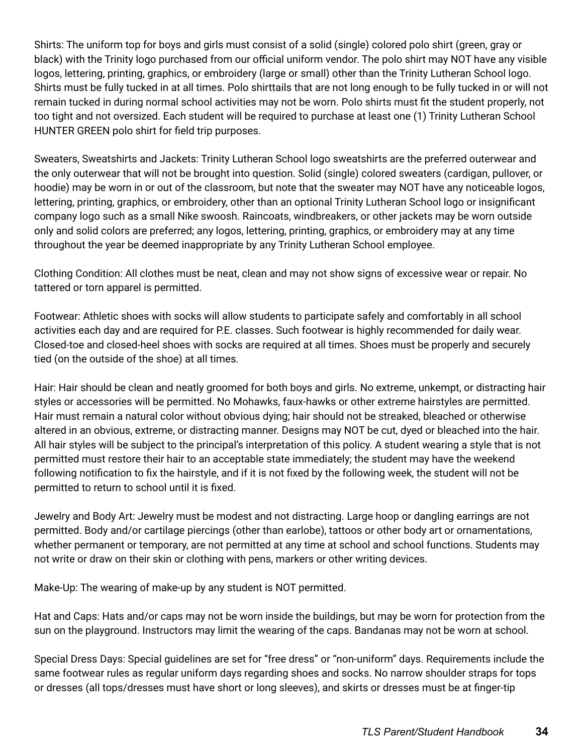Shirts: The uniform top for boys and girls must consist of a solid (single) colored polo shirt (green, gray or black) with the Trinity logo purchased from our official uniform vendor. The polo shirt may NOT have any visible logos, lettering, printing, graphics, or embroidery (large or small) other than the Trinity Lutheran School logo. Shirts must be fully tucked in at all times. Polo shirttails that are not long enough to be fully tucked in or will not remain tucked in during normal school activities may not be worn. Polo shirts must fit the student properly, not too tight and not oversized. Each student will be required to purchase at least one (1) Trinity Lutheran School HUNTER GREEN polo shirt for field trip purposes.

Sweaters, Sweatshirts and Jackets: Trinity Lutheran School logo sweatshirts are the preferred outerwear and the only outerwear that will not be brought into question. Solid (single) colored sweaters (cardigan, pullover, or hoodie) may be worn in or out of the classroom, but note that the sweater may NOT have any noticeable logos, lettering, printing, graphics, or embroidery, other than an optional Trinity Lutheran School logo or insignificant company logo such as a small Nike swoosh. Raincoats, windbreakers, or other jackets may be worn outside only and solid colors are preferred; any logos, lettering, printing, graphics, or embroidery may at any time throughout the year be deemed inappropriate by any Trinity Lutheran School employee.

Clothing Condition: All clothes must be neat, clean and may not show signs of excessive wear or repair. No tattered or torn apparel is permitted.

Footwear: Athletic shoes with socks will allow students to participate safely and comfortably in all school activities each day and are required for P.E. classes. Such footwear is highly recommended for daily wear. Closed-toe and closed-heel shoes with socks are required at all times. Shoes must be properly and securely tied (on the outside of the shoe) at all times.

Hair: Hair should be clean and neatly groomed for both boys and girls. No extreme, unkempt, or distracting hair styles or accessories will be permitted. No Mohawks, faux-hawks or other extreme hairstyles are permitted. Hair must remain a natural color without obvious dying; hair should not be streaked, bleached or otherwise altered in an obvious, extreme, or distracting manner. Designs may NOT be cut, dyed or bleached into the hair. All hair styles will be subject to the principal's interpretation of this policy. A student wearing a style that is not permitted must restore their hair to an acceptable state immediately; the student may have the weekend following notification to fix the hairstyle, and if it is not fixed by the following week, the student will not be permitted to return to school until it is fixed.

Jewelry and Body Art: Jewelry must be modest and not distracting. Large hoop or dangling earrings are not permitted. Body and/or cartilage piercings (other than earlobe), tattoos or other body art or ornamentations, whether permanent or temporary, are not permitted at any time at school and school functions. Students may not write or draw on their skin or clothing with pens, markers or other writing devices.

Make-Up: The wearing of make-up by any student is NOT permitted.

Hat and Caps: Hats and/or caps may not be worn inside the buildings, but may be worn for protection from the sun on the playground. Instructors may limit the wearing of the caps. Bandanas may not be worn at school.

Special Dress Days: Special guidelines are set for "free dress" or "non-uniform" days. Requirements include the same footwear rules as regular uniform days regarding shoes and socks. No narrow shoulder straps for tops or dresses (all tops/dresses must have short or long sleeves), and skirts or dresses must be at finger-tip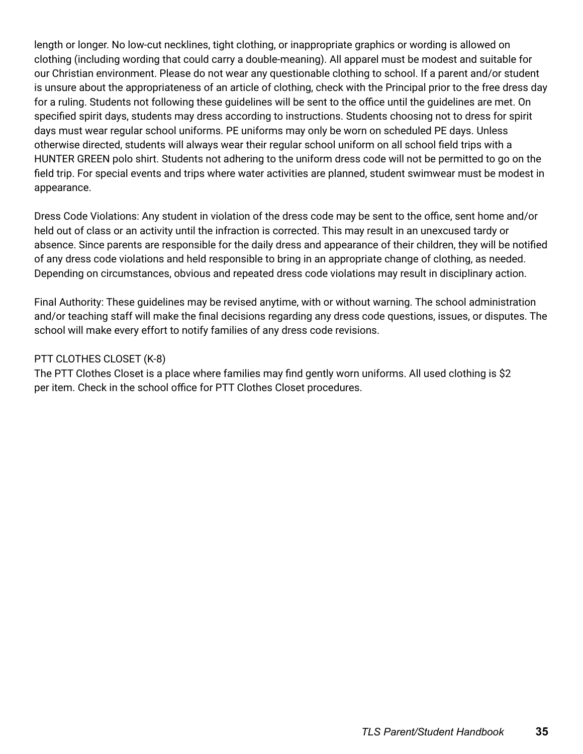length or longer. No low-cut necklines, tight clothing, or inappropriate graphics or wording is allowed on clothing (including wording that could carry a double-meaning). All apparel must be modest and suitable for our Christian environment. Please do not wear any questionable clothing to school. If a parent and/or student is unsure about the appropriateness of an article of clothing, check with the Principal prior to the free dress day for a ruling. Students not following these guidelines will be sent to the office until the guidelines are met. On specified spirit days, students may dress according to instructions. Students choosing not to dress for spirit days must wear regular school uniforms. PE uniforms may only be worn on scheduled PE days. Unless otherwise directed, students will always wear their regular school uniform on all school field trips with a HUNTER GREEN polo shirt. Students not adhering to the uniform dress code will not be permitted to go on the field trip. For special events and trips where water activities are planned, student swimwear must be modest in appearance.

Dress Code Violations: Any student in violation of the dress code may be sent to the office, sent home and/or held out of class or an activity until the infraction is corrected. This may result in an unexcused tardy or absence. Since parents are responsible for the daily dress and appearance of their children, they will be notified of any dress code violations and held responsible to bring in an appropriate change of clothing, as needed. Depending on circumstances, obvious and repeated dress code violations may result in disciplinary action.

Final Authority: These guidelines may be revised anytime, with or without warning. The school administration and/or teaching staff will make the final decisions regarding any dress code questions, issues, or disputes. The school will make every effort to notify families of any dress code revisions.

# PTT CLOTHES CLOSET (K-8)

The PTT Clothes Closet is a place where families may find gently worn uniforms. All used clothing is \$2 per item. Check in the school office for PTT Clothes Closet procedures.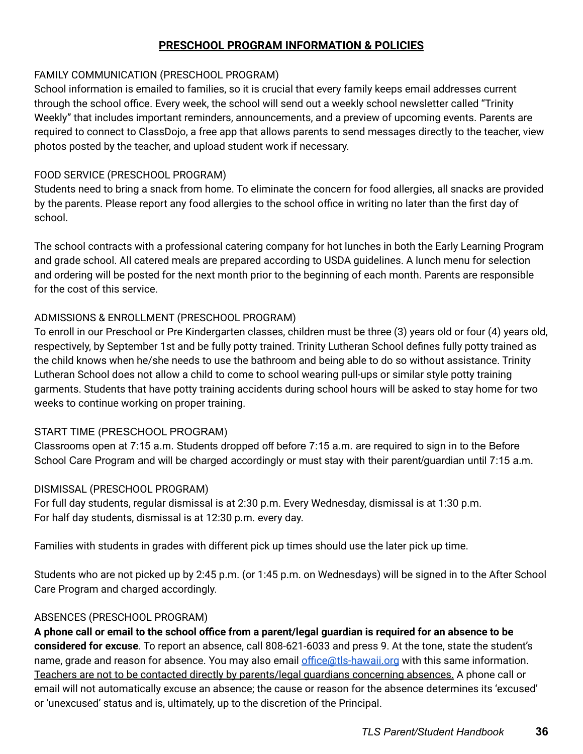# **PRESCHOOL PROGRAM INFORMATION & POLICIES**

#### FAMILY COMMUNICATION (PRESCHOOL PROGRAM)

School information is emailed to families, so it is crucial that every family keeps email addresses current through the school office. Every week, the school will send out a weekly school newsletter called "Trinity Weekly" that includes important reminders, announcements, and a preview of upcoming events. Parents are required to connect to ClassDojo, a free app that allows parents to send messages directly to the teacher, view photos posted by the teacher, and upload student work if necessary.

# FOOD SERVICE (PRESCHOOL PROGRAM)

Students need to bring a snack from home. To eliminate the concern for food allergies, all snacks are provided by the parents. Please report any food allergies to the school office in writing no later than the first day of school.

The school contracts with a professional catering company for hot lunches in both the Early Learning Program and grade school. All catered meals are prepared according to USDA guidelines. A lunch menu for selection and ordering will be posted for the next month prior to the beginning of each month. Parents are responsible for the cost of this service.

#### ADMISSIONS & ENROLLMENT (PRESCHOOL PROGRAM)

To enroll in our Preschool or Pre Kindergarten classes, children must be three (3) years old or four (4) years old, respectively, by September 1st and be fully potty trained. Trinity Lutheran School defines fully potty trained as the child knows when he/she needs to use the bathroom and being able to do so without assistance. Trinity Lutheran School does not allow a child to come to school wearing pull-ups or similar style potty training garments. Students that have potty training accidents during school hours will be asked to stay home for two weeks to continue working on proper training.

#### START TIME (PRESCHOOL PROGRAM)

Classrooms open at 7:15 a.m. Students dropped off before 7:15 a.m. are required to sign in to the Before School Care Program and will be charged accordingly or must stay with their parent/guardian until 7:15 a.m.

#### DISMISSAL (PRESCHOOL PROGRAM)

For full day students, regular dismissal is at 2:30 p.m. Every Wednesday, dismissal is at 1:30 p.m. For half day students, dismissal is at 12:30 p.m. every day.

Families with students in grades with different pick up times should use the later pick up time.

Students who are not picked up by 2:45 p.m. (or 1:45 p.m. on Wednesdays) will be signed in to the After School Care Program and charged accordingly.

#### ABSENCES (PRESCHOOL PROGRAM)

A phone call or email to the school office from a parent/legal guardian is required for an absence to be **considered for excuse**. To report an absence, call 808-621-6033 and press 9. At the tone, state the student's name, grade and reason for absence. You may also email [office@tls-hawaii.org](mailto:office@tls-hawaii.org) with this same information. Teachers are not to be contacted directly by parents/legal guardians concerning absences. A phone call or email will not automatically excuse an absence; the cause or reason for the absence determines its 'excused' or 'unexcused' status and is, ultimately, up to the discretion of the Principal.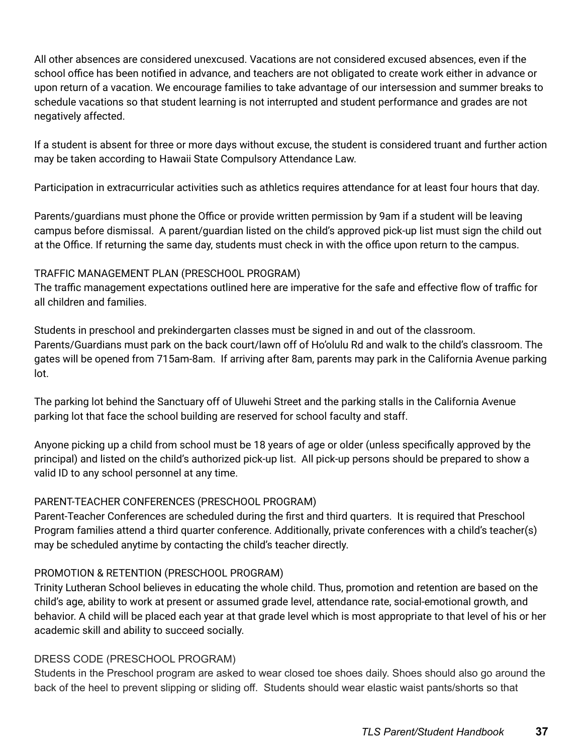All other absences are considered unexcused. Vacations are not considered excused absences, even if the school office has been notified in advance, and teachers are not obligated to create work either in advance or upon return of a vacation. We encourage families to take advantage of our intersession and summer breaks to schedule vacations so that student learning is not interrupted and student performance and grades are not negatively affected.

If a student is absent for three or more days without excuse, the student is considered truant and further action may be taken according to Hawaii State Compulsory Attendance Law.

Participation in extracurricular activities such as athletics requires attendance for at least four hours that day.

Parents/guardians must phone the Office or provide written permission by 9am if a student will be leaving campus before dismissal. A parent/guardian listed on the child's approved pick-up list must sign the child out at the Office. If returning the same day, students must check in with the office upon return to the campus.

# TRAFFIC MANAGEMENT PLAN (PRESCHOOL PROGRAM)

The traffic management expectations outlined here are imperative for the safe and effective flow of traffic for all children and families.

Students in preschool and prekindergarten classes must be signed in and out of the classroom. Parents/Guardians must park on the back court/lawn off of Ho'olulu Rd and walk to the child's classroom. The gates will be opened from 715am-8am. If arriving after 8am, parents may park in the California Avenue parking lot.

The parking lot behind the Sanctuary off of Uluwehi Street and the parking stalls in the California Avenue parking lot that face the school building are reserved for school faculty and staff.

Anyone picking up a child from school must be 18 years of age or older (unless specifically approved by the principal) and listed on the child's authorized pick-up list. All pick-up persons should be prepared to show a valid ID to any school personnel at any time.

# PARENT-TEACHER CONFERENCES (PRESCHOOL PROGRAM)

Parent-Teacher Conferences are scheduled during the first and third quarters. It is required that Preschool Program families attend a third quarter conference. Additionally, private conferences with a child's teacher(s) may be scheduled anytime by contacting the child's teacher directly.

# PROMOTION & RETENTION (PRESCHOOL PROGRAM)

Trinity Lutheran School believes in educating the whole child. Thus, promotion and retention are based on the child's age, ability to work at present or assumed grade level, attendance rate, social-emotional growth, and behavior. A child will be placed each year at that grade level which is most appropriate to that level of his or her academic skill and ability to succeed socially.

# DRESS CODE (PRESCHOOL PROGRAM)

Students in the Preschool program are asked to wear closed toe shoes daily. Shoes should also go around the back of the heel to prevent slipping or sliding off. Students should wear elastic waist pants/shorts so that